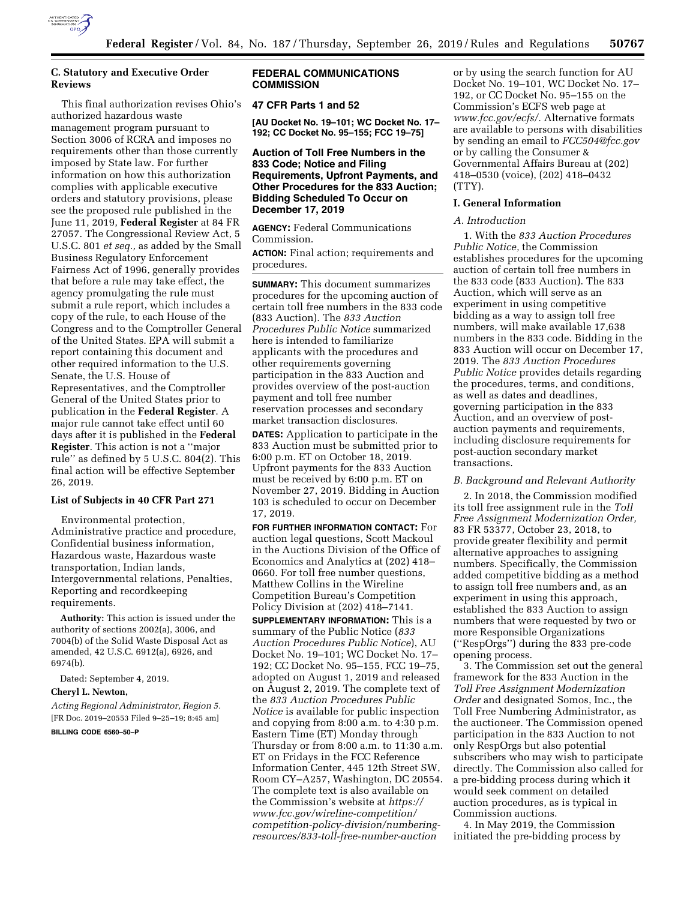

# **C. Statutory and Executive Order Reviews**

This final authorization revises Ohio's authorized hazardous waste management program pursuant to Section 3006 of RCRA and imposes no requirements other than those currently imposed by State law. For further information on how this authorization complies with applicable executive orders and statutory provisions, please see the proposed rule published in the June 11, 2019, **Federal Register** at 84 FR 27057. The Congressional Review Act, 5 U.S.C. 801 *et seq.,* as added by the Small Business Regulatory Enforcement Fairness Act of 1996, generally provides that before a rule may take effect, the agency promulgating the rule must submit a rule report, which includes a copy of the rule, to each House of the Congress and to the Comptroller General of the United States. EPA will submit a report containing this document and other required information to the U.S. Senate, the U.S. House of Representatives, and the Comptroller General of the United States prior to publication in the **Federal Register**. A major rule cannot take effect until 60 days after it is published in the **Federal Register**. This action is not a ''major rule'' as defined by 5 U.S.C. 804(2). This final action will be effective September 26, 2019.

# **List of Subjects in 40 CFR Part 271**

Environmental protection, Administrative practice and procedure, Confidential business information, Hazardous waste, Hazardous waste transportation, Indian lands, Intergovernmental relations, Penalties, Reporting and recordkeeping requirements.

**Authority:** This action is issued under the authority of sections 2002(a), 3006, and 7004(b) of the Solid Waste Disposal Act as amended, 42 U.S.C. 6912(a), 6926, and 6974(b).

Dated: September 4, 2019.

# **Cheryl L. Newton,**

*Acting Regional Administrator, Region 5.*  [FR Doc. 2019–20553 Filed 9–25–19; 8:45 am]

# **BILLING CODE 6560–50–P**

# **FEDERAL COMMUNICATIONS COMMISSION**

# **47 CFR Parts 1 and 52**

**[AU Docket No. 19–101; WC Docket No. 17– 192; CC Docket No. 95–155; FCC 19–75]** 

# **Auction of Toll Free Numbers in the 833 Code; Notice and Filing Requirements, Upfront Payments, and Other Procedures for the 833 Auction; Bidding Scheduled To Occur on December 17, 2019**

**AGENCY:** Federal Communications Commission.

**ACTION:** Final action; requirements and procedures.

**SUMMARY:** This document summarizes procedures for the upcoming auction of certain toll free numbers in the 833 code (833 Auction). The *833 Auction Procedures Public Notice* summarized here is intended to familiarize applicants with the procedures and other requirements governing participation in the 833 Auction and provides overview of the post-auction payment and toll free number reservation processes and secondary market transaction disclosures.

**DATES:** Application to participate in the 833 Auction must be submitted prior to 6:00 p.m. ET on October 18, 2019. Upfront payments for the 833 Auction must be received by 6:00 p.m. ET on November 27, 2019. Bidding in Auction 103 is scheduled to occur on December 17, 2019.

**FOR FURTHER INFORMATION CONTACT:** For auction legal questions, Scott Mackoul in the Auctions Division of the Office of Economics and Analytics at (202) 418– 0660. For toll free number questions, Matthew Collins in the Wireline Competition Bureau's Competition Policy Division at (202) 418–7141.

**SUPPLEMENTARY INFORMATION:** This is a summary of the Public Notice (*833 Auction Procedures Public Notice*), AU Docket No. 19–101; WC Docket No. 17– 192; CC Docket No. 95–155, FCC 19–75, adopted on August 1, 2019 and released on August 2, 2019. The complete text of the *833 Auction Procedures Public Notice* is available for public inspection and copying from 8:00 a.m. to 4:30 p.m. Eastern Time (ET) Monday through Thursday or from 8:00 a.m. to 11:30 a.m. ET on Fridays in the FCC Reference Information Center, 445 12th Street SW, Room CY–A257, Washington, DC 20554. The complete text is also available on the Commission's website at *[https://](https://www.fcc.gov/wireline-competition/competition-policy-division/numbering-resources/833-toll-free-number-auction) [www.fcc.gov/wireline-competition/](https://www.fcc.gov/wireline-competition/competition-policy-division/numbering-resources/833-toll-free-number-auction)  [competition-policy-division/numbering](https://www.fcc.gov/wireline-competition/competition-policy-division/numbering-resources/833-toll-free-number-auction)[resources/833-toll-free-number-auction](https://www.fcc.gov/wireline-competition/competition-policy-division/numbering-resources/833-toll-free-number-auction)* 

or by using the search function for AU Docket No. 19–101, WC Docket No. 17– 192, or CC Docket No. 95–155 on the Commission's ECFS web page at *[www.fcc.gov/ecfs/.](http://www.fcc.gov/ecfs/)* Alternative formats are available to persons with disabilities by sending an email to *[FCC504@fcc.gov](mailto:FCC504@fcc.gov)*  or by calling the Consumer & Governmental Affairs Bureau at (202) 418–0530 (voice), (202) 418–0432 (TTY).

### **I. General Information**

#### *A. Introduction*

1. With the *833 Auction Procedures Public Notice,* the Commission establishes procedures for the upcoming auction of certain toll free numbers in the 833 code (833 Auction). The 833 Auction, which will serve as an experiment in using competitive bidding as a way to assign toll free numbers, will make available 17,638 numbers in the 833 code. Bidding in the 833 Auction will occur on December 17, 2019. The *833 Auction Procedures Public Notice* provides details regarding the procedures, terms, and conditions, as well as dates and deadlines, governing participation in the 833 Auction, and an overview of postauction payments and requirements, including disclosure requirements for post-auction secondary market transactions.

### *B. Background and Relevant Authority*

2. In 2018, the Commission modified its toll free assignment rule in the *Toll Free Assignment Modernization Order,*  83 FR 53377, October 23, 2018, to provide greater flexibility and permit alternative approaches to assigning numbers. Specifically, the Commission added competitive bidding as a method to assign toll free numbers and, as an experiment in using this approach, established the 833 Auction to assign numbers that were requested by two or more Responsible Organizations (''RespOrgs'') during the 833 pre-code opening process.

3. The Commission set out the general framework for the 833 Auction in the *Toll Free Assignment Modernization Order* and designated Somos, Inc., the Toll Free Numbering Administrator, as the auctioneer. The Commission opened participation in the 833 Auction to not only RespOrgs but also potential subscribers who may wish to participate directly. The Commission also called for a pre-bidding process during which it would seek comment on detailed auction procedures, as is typical in Commission auctions.

4. In May 2019, the Commission initiated the pre-bidding process by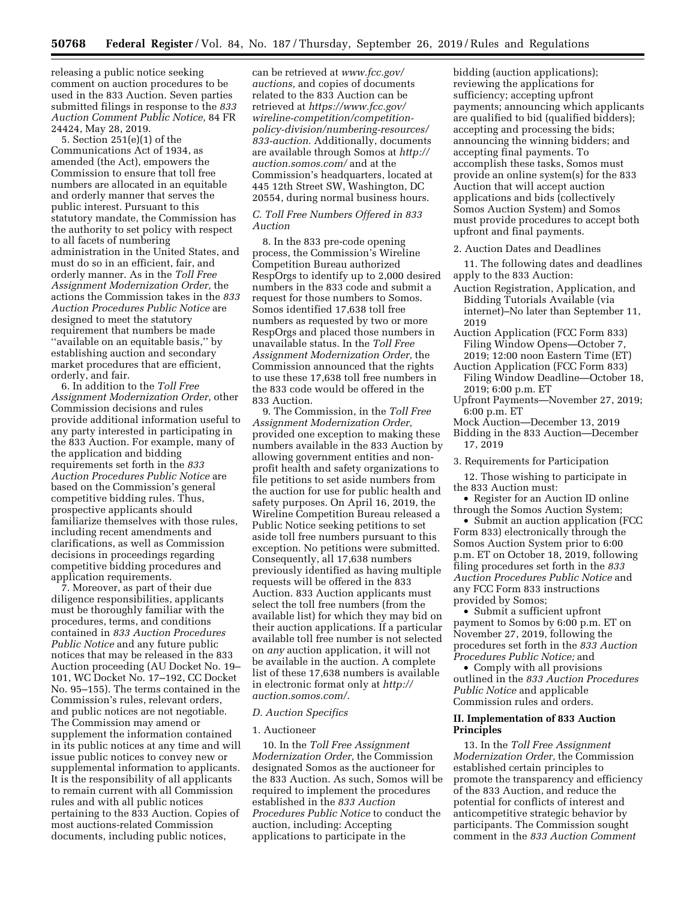releasing a public notice seeking comment on auction procedures to be used in the 833 Auction. Seven parties submitted filings in response to the *833 Auction Comment Public Notice,* 84 FR 24424, May 28, 2019.

5. Section 251(e)(1) of the Communications Act of 1934, as amended (the Act), empowers the Commission to ensure that toll free numbers are allocated in an equitable and orderly manner that serves the public interest. Pursuant to this statutory mandate, the Commission has the authority to set policy with respect to all facets of numbering administration in the United States, and must do so in an efficient, fair, and orderly manner. As in the *Toll Free Assignment Modernization Order,* the actions the Commission takes in the *833 Auction Procedures Public Notice* are designed to meet the statutory requirement that numbers be made ''available on an equitable basis,'' by establishing auction and secondary market procedures that are efficient, orderly, and fair.

6. In addition to the *Toll Free Assignment Modernization Order,* other Commission decisions and rules provide additional information useful to any party interested in participating in the 833 Auction. For example, many of the application and bidding requirements set forth in the *833 Auction Procedures Public Notice* are based on the Commission's general competitive bidding rules. Thus, prospective applicants should familiarize themselves with those rules, including recent amendments and clarifications, as well as Commission decisions in proceedings regarding competitive bidding procedures and application requirements.

7. Moreover, as part of their due diligence responsibilities, applicants must be thoroughly familiar with the procedures, terms, and conditions contained in *833 Auction Procedures Public Notice* and any future public notices that may be released in the 833 Auction proceeding (AU Docket No. 19– 101, WC Docket No. 17–192, CC Docket No. 95–155). The terms contained in the Commission's rules, relevant orders, and public notices are not negotiable. The Commission may amend or supplement the information contained in its public notices at any time and will issue public notices to convey new or supplemental information to applicants. It is the responsibility of all applicants to remain current with all Commission rules and with all public notices pertaining to the 833 Auction. Copies of most auctions-related Commission documents, including public notices,

can be retrieved at *[www.fcc.gov/](http://www.fcc.gov/auctions)  [auctions,](http://www.fcc.gov/auctions)* and copies of documents related to the 833 Auction can be retrieved at *[https://www.fcc.gov/](https://www.fcc.gov/wireline-competition/competition-policy-division/numbering-resources/833-auction) [wireline-competition/competition](https://www.fcc.gov/wireline-competition/competition-policy-division/numbering-resources/833-auction)[policy-division/numbering-resources/](https://www.fcc.gov/wireline-competition/competition-policy-division/numbering-resources/833-auction) [833-auction.](https://www.fcc.gov/wireline-competition/competition-policy-division/numbering-resources/833-auction)* Additionally, documents are available through Somos at *[http://](http://auction.somos.com/) [auction.somos.com/](http://auction.somos.com/)* and at the Commission's headquarters, located at 445 12th Street SW, Washington, DC 20554, during normal business hours.

#### *C. Toll Free Numbers Offered in 833 Auction*

8. In the 833 pre-code opening process, the Commission's Wireline Competition Bureau authorized RespOrgs to identify up to 2,000 desired numbers in the 833 code and submit a request for those numbers to Somos. Somos identified 17,638 toll free numbers as requested by two or more RespOrgs and placed those numbers in unavailable status. In the *Toll Free Assignment Modernization Order,* the Commission announced that the rights to use these 17,638 toll free numbers in the 833 code would be offered in the 833 Auction.

9. The Commission, in the *Toll Free Assignment Modernization Order,*  provided one exception to making these numbers available in the 833 Auction by allowing government entities and nonprofit health and safety organizations to file petitions to set aside numbers from the auction for use for public health and safety purposes. On April 16, 2019, the Wireline Competition Bureau released a Public Notice seeking petitions to set aside toll free numbers pursuant to this exception. No petitions were submitted. Consequently, all 17,638 numbers previously identified as having multiple requests will be offered in the 833 Auction. 833 Auction applicants must select the toll free numbers (from the available list) for which they may bid on their auction applications. If a particular available toll free number is not selected on *any* auction application, it will not be available in the auction. A complete list of these 17,638 numbers is available in electronic format only at *[http://](http://auction.somos.com/) [auction.somos.com/.](http://auction.somos.com/)* 

## *D. Auction Specifics*

## 1. Auctioneer

10. In the *Toll Free Assignment Modernization Order,* the Commission designated Somos as the auctioneer for the 833 Auction. As such, Somos will be required to implement the procedures established in the *833 Auction Procedures Public Notice* to conduct the auction, including: Accepting applications to participate in the

bidding (auction applications); reviewing the applications for sufficiency; accepting upfront payments; announcing which applicants are qualified to bid (qualified bidders); accepting and processing the bids; announcing the winning bidders; and accepting final payments. To accomplish these tasks, Somos must provide an online system(s) for the 833 Auction that will accept auction applications and bids (collectively Somos Auction System) and Somos must provide procedures to accept both upfront and final payments.

### 2. Auction Dates and Deadlines

11. The following dates and deadlines apply to the 833 Auction:

- Auction Registration, Application, and Bidding Tutorials Available (via internet)–No later than September 11, 2019
- Auction Application (FCC Form 833) Filing Window Opens—October 7, 2019; 12:00 noon Eastern Time (ET)
- Auction Application (FCC Form 833) Filing Window Deadline—October 18, 2019; 6:00 p.m. ET
- Upfront Payments—November 27, 2019; 6:00 p.m. ET
- Mock Auction—December 13, 2019
- Bidding in the 833 Auction—December 17, 2019
- 3. Requirements for Participation

12. Those wishing to participate in the 833 Auction must:

• Register for an Auction ID online through the Somos Auction System;

• Submit an auction application (FCC Form 833) electronically through the Somos Auction System prior to 6:00 p.m. ET on October 18, 2019, following filing procedures set forth in the *833 Auction Procedures Public Notice* and any FCC Form 833 instructions provided by Somos;

• Submit a sufficient upfront payment to Somos by 6:00 p.m. ET on November 27, 2019, following the procedures set forth in the *833 Auction Procedures Public Notice;* and

• Comply with all provisions outlined in the *833 Auction Procedures Public Notice* and applicable Commission rules and orders.

## **II. Implementation of 833 Auction Principles**

13. In the *Toll Free Assignment Modernization Order,* the Commission established certain principles to promote the transparency and efficiency of the 833 Auction, and reduce the potential for conflicts of interest and anticompetitive strategic behavior by participants. The Commission sought comment in the *833 Auction Comment*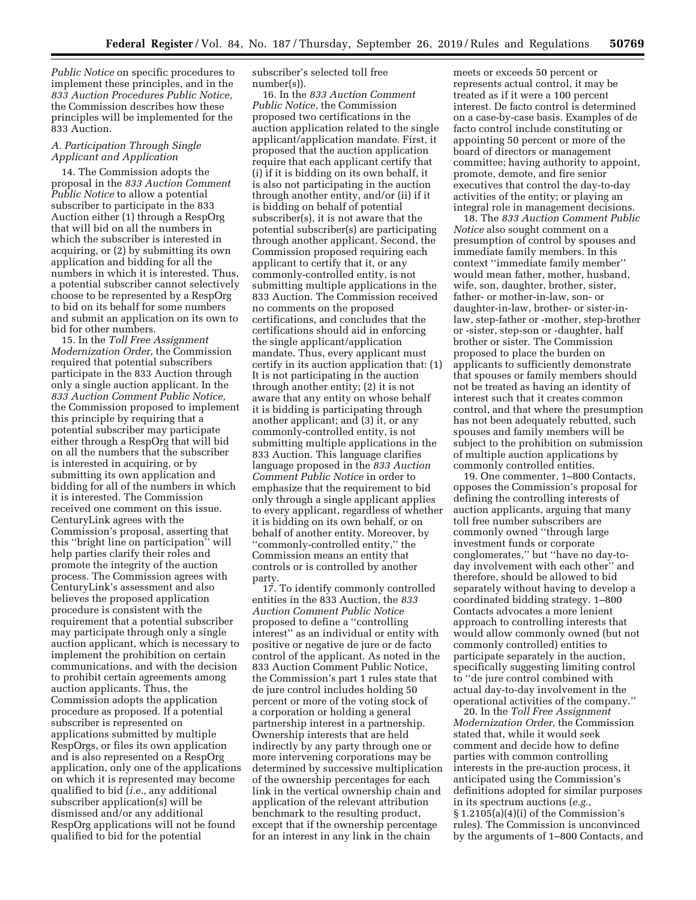*Public Notice* on specific procedures to implement these principles, and in the *833 Auction Procedures Public Notice,*  the Commission describes how these principles will be implemented for the 833 Auction.

## *A. Participation Through Single Applicant and Application*

14. The Commission adopts the proposal in the *833 Auction Comment Public Notice* to allow a potential subscriber to participate in the 833 Auction either (1) through a RespOrg that will bid on all the numbers in which the subscriber is interested in acquiring, or (2) by submitting its own application and bidding for all the numbers in which it is interested. Thus, a potential subscriber cannot selectively choose to be represented by a RespOrg to bid on its behalf for some numbers and submit an application on its own to bid for other numbers.

15. In the *Toll Free Assignment Modernization Order,* the Commission required that potential subscribers participate in the 833 Auction through only a single auction applicant. In the *833 Auction Comment Public Notice,*  the Commission proposed to implement this principle by requiring that a potential subscriber may participate either through a RespOrg that will bid on all the numbers that the subscriber is interested in acquiring, or by submitting its own application and bidding for all of the numbers in which it is interested. The Commission received one comment on this issue. CenturyLink agrees with the Commission's proposal, asserting that this ''bright line on participation'' will help parties clarify their roles and promote the integrity of the auction process. The Commission agrees with CenturyLink's assessment and also believes the proposed application procedure is consistent with the requirement that a potential subscriber may participate through only a single auction applicant, which is necessary to implement the prohibition on certain communications, and with the decision to prohibit certain agreements among auction applicants. Thus, the Commission adopts the application procedure as proposed. If a potential subscriber is represented on applications submitted by multiple RespOrgs, or files its own application and is also represented on a RespOrg application, only one of the applications on which it is represented may become qualified to bid (*i.e.,* any additional subscriber application(s) will be dismissed and/or any additional RespOrg applications will not be found qualified to bid for the potential

subscriber's selected toll free number(s)).

16. In the *833 Auction Comment Public Notice,* the Commission proposed two certifications in the auction application related to the single applicant/application mandate. First, it proposed that the auction application require that each applicant certify that (i) if it is bidding on its own behalf, it is also not participating in the auction through another entity, and/or (ii) if it is bidding on behalf of potential subscriber(s), it is not aware that the potential subscriber(s) are participating through another applicant. Second, the Commission proposed requiring each applicant to certify that it, or any commonly-controlled entity, is not submitting multiple applications in the 833 Auction. The Commission received no comments on the proposed certifications, and concludes that the certifications should aid in enforcing the single applicant/application mandate. Thus, every applicant must certify in its auction application that: (1) It is not participating in the auction through another entity; (2) it is not aware that any entity on whose behalf it is bidding is participating through another applicant; and (3) it, or any commonly-controlled entity, is not submitting multiple applications in the 833 Auction. This language clarifies language proposed in the *833 Auction Comment Public Notice* in order to emphasize that the requirement to bid only through a single applicant applies to every applicant, regardless of whether it is bidding on its own behalf, or on behalf of another entity. Moreover, by ''commonly-controlled entity,'' the Commission means an entity that controls or is controlled by another party.

17. To identify commonly controlled entities in the 833 Auction, the *833 Auction Comment Public Notice*  proposed to define a ''controlling interest'' as an individual or entity with positive or negative de jure or de facto control of the applicant. As noted in the 833 Auction Comment Public Notice, the Commission's part 1 rules state that de jure control includes holding 50 percent or more of the voting stock of a corporation or holding a general partnership interest in a partnership. Ownership interests that are held indirectly by any party through one or more intervening corporations may be determined by successive multiplication of the ownership percentages for each link in the vertical ownership chain and application of the relevant attribution benchmark to the resulting product, except that if the ownership percentage for an interest in any link in the chain

meets or exceeds 50 percent or represents actual control, it may be treated as if it were a 100 percent interest. De facto control is determined on a case-by-case basis. Examples of de facto control include constituting or appointing 50 percent or more of the board of directors or management committee; having authority to appoint, promote, demote, and fire senior executives that control the day-to-day activities of the entity; or playing an integral role in management decisions.

18. The *833 Auction Comment Public Notice* also sought comment on a presumption of control by spouses and immediate family members. In this context ''immediate family member'' would mean father, mother, husband, wife, son, daughter, brother, sister, father- or mother-in-law, son- or daughter-in-law, brother- or sister-inlaw, step-father or -mother, step-brother or -sister, step-son or -daughter, half brother or sister. The Commission proposed to place the burden on applicants to sufficiently demonstrate that spouses or family members should not be treated as having an identity of interest such that it creates common control, and that where the presumption has not been adequately rebutted, such spouses and family members will be subject to the prohibition on submission of multiple auction applications by commonly controlled entities.

19. One commenter, 1–800 Contacts, opposes the Commission's proposal for defining the controlling interests of auction applicants, arguing that many toll free number subscribers are commonly owned ''through large investment funds or corporate conglomerates,'' but ''have no day-today involvement with each other'' and therefore, should be allowed to bid separately without having to develop a coordinated bidding strategy. 1–800 Contacts advocates a more lenient approach to controlling interests that would allow commonly owned (but not commonly controlled) entities to participate separately in the auction, specifically suggesting limiting control to ''de jure control combined with actual day-to-day involvement in the operational activities of the company.''

20. In the *Toll Free Assignment Modernization Order,* the Commission stated that, while it would seek comment and decide how to define parties with common controlling interests in the pre-auction process, it anticipated using the Commission's definitions adopted for similar purposes in its spectrum auctions (*e.g.,*  § 1.2105(a)(4)(i) of the Commission's rules). The Commission is unconvinced by the arguments of 1–800 Contacts, and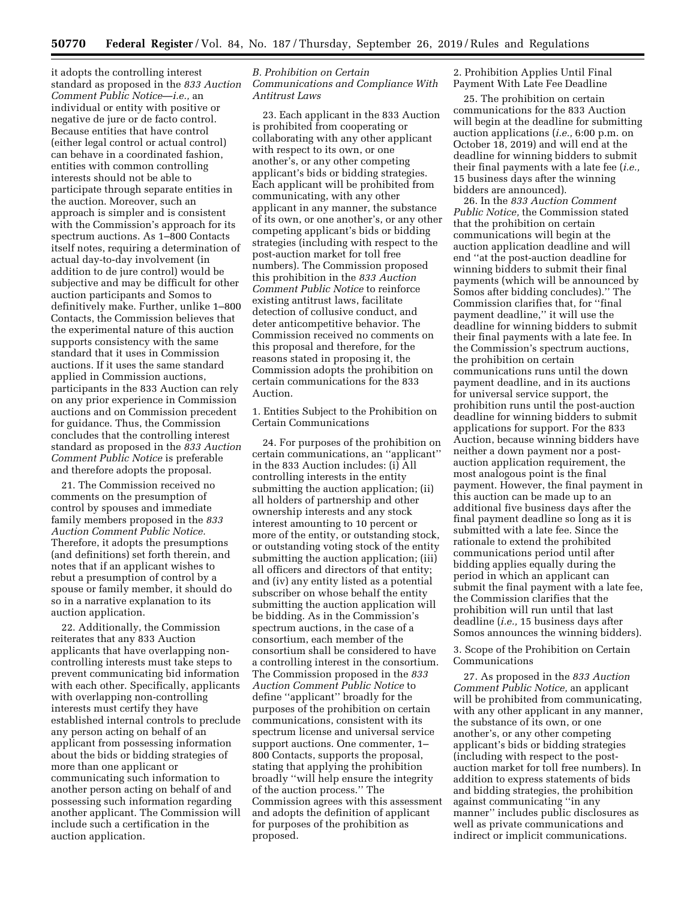it adopts the controlling interest standard as proposed in the *833 Auction Comment Public Notice*—*i.e.,* an individual or entity with positive or negative de jure or de facto control. Because entities that have control (either legal control or actual control) can behave in a coordinated fashion, entities with common controlling interests should not be able to participate through separate entities in the auction. Moreover, such an approach is simpler and is consistent with the Commission's approach for its spectrum auctions. As 1–800 Contacts itself notes, requiring a determination of actual day-to-day involvement (in addition to de jure control) would be subjective and may be difficult for other auction participants and Somos to definitively make. Further, unlike 1–800 Contacts, the Commission believes that the experimental nature of this auction supports consistency with the same standard that it uses in Commission auctions. If it uses the same standard applied in Commission auctions, participants in the 833 Auction can rely on any prior experience in Commission auctions and on Commission precedent for guidance. Thus, the Commission concludes that the controlling interest standard as proposed in the *833 Auction Comment Public Notice* is preferable and therefore adopts the proposal.

21. The Commission received no comments on the presumption of control by spouses and immediate family members proposed in the *833 Auction Comment Public Notice.*  Therefore, it adopts the presumptions (and definitions) set forth therein, and notes that if an applicant wishes to rebut a presumption of control by a spouse or family member, it should do so in a narrative explanation to its auction application.

22. Additionally, the Commission reiterates that any 833 Auction applicants that have overlapping noncontrolling interests must take steps to prevent communicating bid information with each other. Specifically, applicants with overlapping non-controlling interests must certify they have established internal controls to preclude any person acting on behalf of an applicant from possessing information about the bids or bidding strategies of more than one applicant or communicating such information to another person acting on behalf of and possessing such information regarding another applicant. The Commission will include such a certification in the auction application.

# *B. Prohibition on Certain Communications and Compliance With Antitrust Laws*

23. Each applicant in the 833 Auction is prohibited from cooperating or collaborating with any other applicant with respect to its own, or one another's, or any other competing applicant's bids or bidding strategies. Each applicant will be prohibited from communicating, with any other applicant in any manner, the substance of its own, or one another's, or any other competing applicant's bids or bidding strategies (including with respect to the post-auction market for toll free numbers). The Commission proposed this prohibition in the *833 Auction Comment Public Notice* to reinforce existing antitrust laws, facilitate detection of collusive conduct, and deter anticompetitive behavior. The Commission received no comments on this proposal and therefore, for the reasons stated in proposing it, the Commission adopts the prohibition on certain communications for the 833 Auction.

1. Entities Subject to the Prohibition on Certain Communications

24. For purposes of the prohibition on certain communications, an ''applicant'' in the 833 Auction includes: (i) All controlling interests in the entity submitting the auction application; (ii) all holders of partnership and other ownership interests and any stock interest amounting to 10 percent or more of the entity, or outstanding stock, or outstanding voting stock of the entity submitting the auction application; (iii) all officers and directors of that entity; and (iv) any entity listed as a potential subscriber on whose behalf the entity submitting the auction application will be bidding. As in the Commission's spectrum auctions, in the case of a consortium, each member of the consortium shall be considered to have a controlling interest in the consortium. The Commission proposed in the *833 Auction Comment Public Notice* to define ''applicant'' broadly for the purposes of the prohibition on certain communications, consistent with its spectrum license and universal service support auctions. One commenter, 1– 800 Contacts, supports the proposal, stating that applying the prohibition broadly ''will help ensure the integrity of the auction process.'' The Commission agrees with this assessment and adopts the definition of applicant for purposes of the prohibition as proposed.

2. Prohibition Applies Until Final Payment With Late Fee Deadline

25. The prohibition on certain communications for the 833 Auction will begin at the deadline for submitting auction applications (*i.e.,* 6:00 p.m. on October 18, 2019) and will end at the deadline for winning bidders to submit their final payments with a late fee (*i.e.,*  15 business days after the winning bidders are announced).

26. In the *833 Auction Comment Public Notice,* the Commission stated that the prohibition on certain communications will begin at the auction application deadline and will end ''at the post-auction deadline for winning bidders to submit their final payments (which will be announced by Somos after bidding concludes).'' The Commission clarifies that, for ''final payment deadline,'' it will use the deadline for winning bidders to submit their final payments with a late fee. In the Commission's spectrum auctions, the prohibition on certain communications runs until the down payment deadline, and in its auctions for universal service support, the prohibition runs until the post-auction deadline for winning bidders to submit applications for support. For the 833 Auction, because winning bidders have neither a down payment nor a postauction application requirement, the most analogous point is the final payment. However, the final payment in this auction can be made up to an additional five business days after the final payment deadline so long as it is submitted with a late fee. Since the rationale to extend the prohibited communications period until after bidding applies equally during the period in which an applicant can submit the final payment with a late fee, the Commission clarifies that the prohibition will run until that last deadline (*i.e.,* 15 business days after Somos announces the winning bidders).

3. Scope of the Prohibition on Certain Communications

27. As proposed in the *833 Auction Comment Public Notice,* an applicant will be prohibited from communicating, with any other applicant in any manner, the substance of its own, or one another's, or any other competing applicant's bids or bidding strategies (including with respect to the postauction market for toll free numbers). In addition to express statements of bids and bidding strategies, the prohibition against communicating ''in any manner'' includes public disclosures as well as private communications and indirect or implicit communications.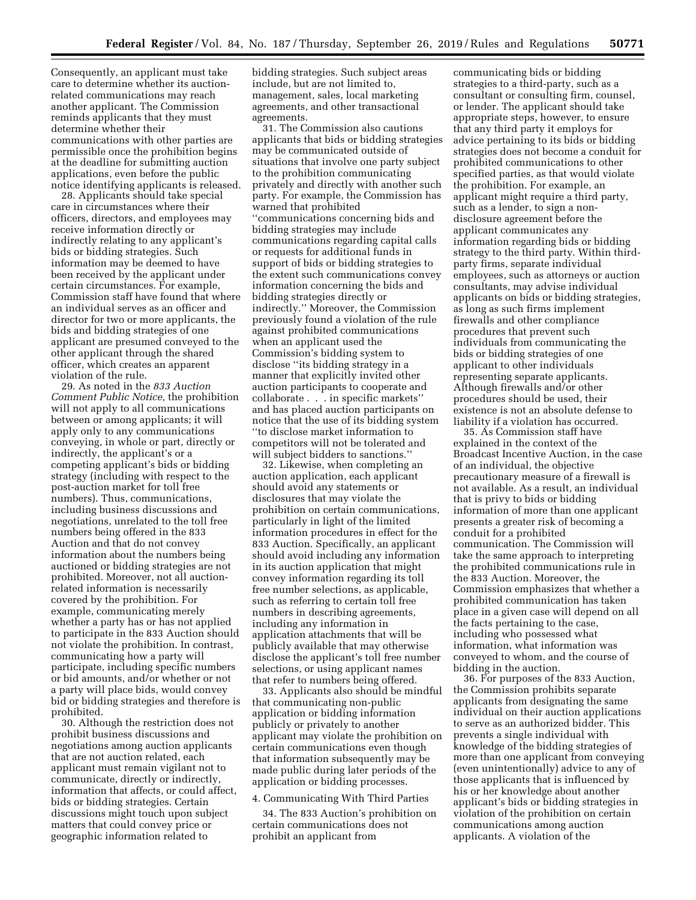Consequently, an applicant must take care to determine whether its auctionrelated communications may reach another applicant. The Commission reminds applicants that they must determine whether their communications with other parties are permissible once the prohibition begins at the deadline for submitting auction applications, even before the public notice identifying applicants is released.

28. Applicants should take special care in circumstances where their officers, directors, and employees may receive information directly or indirectly relating to any applicant's bids or bidding strategies. Such information may be deemed to have been received by the applicant under certain circumstances. For example, Commission staff have found that where an individual serves as an officer and director for two or more applicants, the bids and bidding strategies of one applicant are presumed conveyed to the other applicant through the shared officer, which creates an apparent violation of the rule.

29. As noted in the *833 Auction Comment Public Notice,* the prohibition will not apply to all communications between or among applicants; it will apply only to any communications conveying, in whole or part, directly or indirectly, the applicant's or a competing applicant's bids or bidding strategy (including with respect to the post-auction market for toll free numbers). Thus, communications, including business discussions and negotiations, unrelated to the toll free numbers being offered in the 833 Auction and that do not convey information about the numbers being auctioned or bidding strategies are not prohibited. Moreover, not all auctionrelated information is necessarily covered by the prohibition. For example, communicating merely whether a party has or has not applied to participate in the 833 Auction should not violate the prohibition. In contrast, communicating how a party will participate, including specific numbers or bid amounts, and/or whether or not a party will place bids, would convey bid or bidding strategies and therefore is prohibited.

30. Although the restriction does not prohibit business discussions and negotiations among auction applicants that are not auction related, each applicant must remain vigilant not to communicate, directly or indirectly, information that affects, or could affect, bids or bidding strategies. Certain discussions might touch upon subject matters that could convey price or geographic information related to

bidding strategies. Such subject areas include, but are not limited to, management, sales, local marketing agreements, and other transactional agreements.

31. The Commission also cautions applicants that bids or bidding strategies may be communicated outside of situations that involve one party subject to the prohibition communicating privately and directly with another such party. For example, the Commission has warned that prohibited ''communications concerning bids and bidding strategies may include communications regarding capital calls or requests for additional funds in support of bids or bidding strategies to the extent such communications convey information concerning the bids and bidding strategies directly or indirectly.'' Moreover, the Commission previously found a violation of the rule against prohibited communications when an applicant used the Commission's bidding system to disclose ''its bidding strategy in a manner that explicitly invited other auction participants to cooperate and collaborate . . . in specific markets'' and has placed auction participants on notice that the use of its bidding system ''to disclose market information to competitors will not be tolerated and will subject bidders to sanctions.''

32. Likewise, when completing an auction application, each applicant should avoid any statements or disclosures that may violate the prohibition on certain communications, particularly in light of the limited information procedures in effect for the 833 Auction. Specifically, an applicant should avoid including any information in its auction application that might convey information regarding its toll free number selections, as applicable, such as referring to certain toll free numbers in describing agreements, including any information in application attachments that will be publicly available that may otherwise disclose the applicant's toll free number selections, or using applicant names that refer to numbers being offered.

33. Applicants also should be mindful that communicating non-public application or bidding information publicly or privately to another applicant may violate the prohibition on certain communications even though that information subsequently may be made public during later periods of the application or bidding processes.

# 4. Communicating With Third Parties

34. The 833 Auction's prohibition on certain communications does not prohibit an applicant from

communicating bids or bidding strategies to a third-party, such as a consultant or consulting firm, counsel, or lender. The applicant should take appropriate steps, however, to ensure that any third party it employs for advice pertaining to its bids or bidding strategies does not become a conduit for prohibited communications to other specified parties, as that would violate the prohibition. For example, an applicant might require a third party, such as a lender, to sign a nondisclosure agreement before the applicant communicates any information regarding bids or bidding strategy to the third party. Within thirdparty firms, separate individual employees, such as attorneys or auction consultants, may advise individual applicants on bids or bidding strategies, as long as such firms implement firewalls and other compliance procedures that prevent such individuals from communicating the bids or bidding strategies of one applicant to other individuals representing separate applicants. Although firewalls and/or other procedures should be used, their existence is not an absolute defense to liability if a violation has occurred.

35. As Commission staff have explained in the context of the Broadcast Incentive Auction, in the case of an individual, the objective precautionary measure of a firewall is not available. As a result, an individual that is privy to bids or bidding information of more than one applicant presents a greater risk of becoming a conduit for a prohibited communication. The Commission will take the same approach to interpreting the prohibited communications rule in the 833 Auction. Moreover, the Commission emphasizes that whether a prohibited communication has taken place in a given case will depend on all the facts pertaining to the case, including who possessed what information, what information was conveyed to whom, and the course of bidding in the auction.

36. For purposes of the 833 Auction, the Commission prohibits separate applicants from designating the same individual on their auction applications to serve as an authorized bidder. This prevents a single individual with knowledge of the bidding strategies of more than one applicant from conveying (even unintentionally) advice to any of those applicants that is influenced by his or her knowledge about another applicant's bids or bidding strategies in violation of the prohibition on certain communications among auction applicants. A violation of the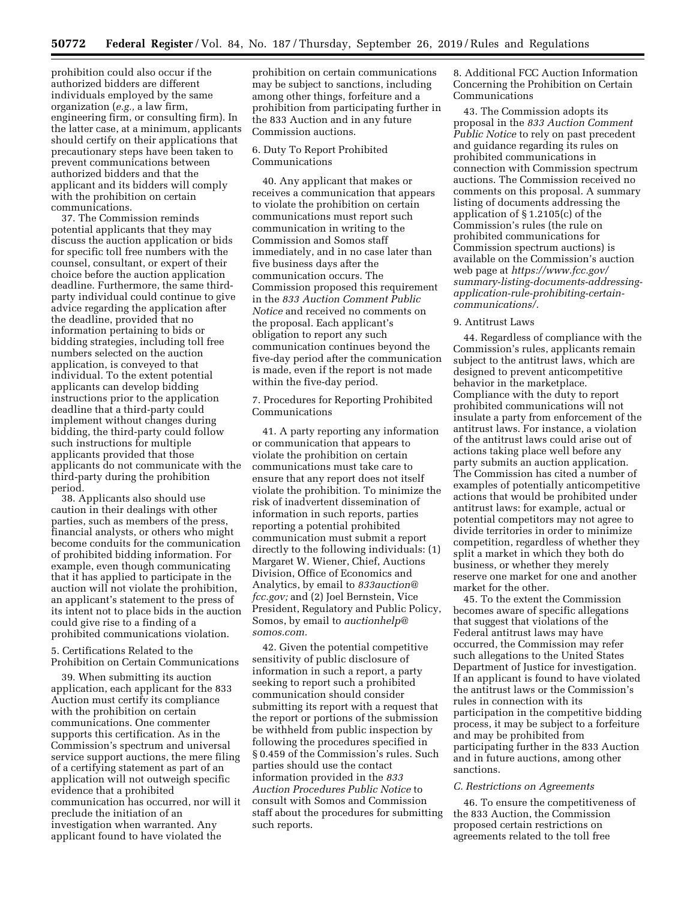prohibition could also occur if the authorized bidders are different individuals employed by the same organization (*e.g.,* a law firm, engineering firm, or consulting firm). In the latter case, at a minimum, applicants should certify on their applications that precautionary steps have been taken to prevent communications between authorized bidders and that the applicant and its bidders will comply with the prohibition on certain communications.

37. The Commission reminds potential applicants that they may discuss the auction application or bids for specific toll free numbers with the counsel, consultant, or expert of their choice before the auction application deadline. Furthermore, the same thirdparty individual could continue to give advice regarding the application after the deadline, provided that no information pertaining to bids or bidding strategies, including toll free numbers selected on the auction application, is conveyed to that individual. To the extent potential applicants can develop bidding instructions prior to the application deadline that a third-party could implement without changes during bidding, the third-party could follow such instructions for multiple applicants provided that those applicants do not communicate with the third-party during the prohibition period.

38. Applicants also should use caution in their dealings with other parties, such as members of the press, financial analysts, or others who might become conduits for the communication of prohibited bidding information. For example, even though communicating that it has applied to participate in the auction will not violate the prohibition, an applicant's statement to the press of its intent not to place bids in the auction could give rise to a finding of a prohibited communications violation.

### 5. Certifications Related to the Prohibition on Certain Communications

39. When submitting its auction application, each applicant for the 833 Auction must certify its compliance with the prohibition on certain communications. One commenter supports this certification. As in the Commission's spectrum and universal service support auctions, the mere filing of a certifying statement as part of an application will not outweigh specific evidence that a prohibited communication has occurred, nor will it preclude the initiation of an investigation when warranted. Any applicant found to have violated the

prohibition on certain communications may be subject to sanctions, including among other things, forfeiture and a prohibition from participating further in the 833 Auction and in any future Commission auctions.

## 6. Duty To Report Prohibited Communications

40. Any applicant that makes or receives a communication that appears to violate the prohibition on certain communications must report such communication in writing to the Commission and Somos staff immediately, and in no case later than five business days after the communication occurs. The Commission proposed this requirement in the *833 Auction Comment Public Notice* and received no comments on the proposal. Each applicant's obligation to report any such communication continues beyond the five-day period after the communication is made, even if the report is not made within the five-day period.

7. Procedures for Reporting Prohibited Communications

41. A party reporting any information or communication that appears to violate the prohibition on certain communications must take care to ensure that any report does not itself violate the prohibition. To minimize the risk of inadvertent dissemination of information in such reports, parties reporting a potential prohibited communication must submit a report directly to the following individuals: (1) Margaret W. Wiener, Chief, Auctions Division, Office of Economics and Analytics, by email to *[833auction@](mailto:833auction@fcc.gov) [fcc.gov;](mailto:833auction@fcc.gov)* and (2) Joel Bernstein, Vice President, Regulatory and Public Policy, Somos, by email to *[auctionhelp@](mailto:auctionhelp@somos.com) [somos.com.](mailto:auctionhelp@somos.com)* 

42. Given the potential competitive sensitivity of public disclosure of information in such a report, a party seeking to report such a prohibited communication should consider submitting its report with a request that the report or portions of the submission be withheld from public inspection by following the procedures specified in § 0.459 of the Commission's rules. Such parties should use the contact information provided in the *833 Auction Procedures Public Notice* to consult with Somos and Commission staff about the procedures for submitting such reports.

8. Additional FCC Auction Information Concerning the Prohibition on Certain Communications

43. The Commission adopts its proposal in the *833 Auction Comment Public Notice* to rely on past precedent and guidance regarding its rules on prohibited communications in connection with Commission spectrum auctions. The Commission received no comments on this proposal. A summary listing of documents addressing the application of § 1.2105(c) of the Commission's rules (the rule on prohibited communications for Commission spectrum auctions) is available on the Commission's auction web page at *[https://www.fcc.gov/](https://www.fcc.gov/summary-listing-documents-addressing-application-rule-prohibiting-certain-communications/)  [summary-listing-documents-addressing](https://www.fcc.gov/summary-listing-documents-addressing-application-rule-prohibiting-certain-communications/)[application-rule-prohibiting-certain](https://www.fcc.gov/summary-listing-documents-addressing-application-rule-prohibiting-certain-communications/)[communications/.](https://www.fcc.gov/summary-listing-documents-addressing-application-rule-prohibiting-certain-communications/)* 

#### 9. Antitrust Laws

44. Regardless of compliance with the Commission's rules, applicants remain subject to the antitrust laws, which are designed to prevent anticompetitive behavior in the marketplace. Compliance with the duty to report prohibited communications will not insulate a party from enforcement of the antitrust laws. For instance, a violation of the antitrust laws could arise out of actions taking place well before any party submits an auction application. The Commission has cited a number of examples of potentially anticompetitive actions that would be prohibited under antitrust laws: for example, actual or potential competitors may not agree to divide territories in order to minimize competition, regardless of whether they split a market in which they both do business, or whether they merely reserve one market for one and another market for the other.

45. To the extent the Commission becomes aware of specific allegations that suggest that violations of the Federal antitrust laws may have occurred, the Commission may refer such allegations to the United States Department of Justice for investigation. If an applicant is found to have violated the antitrust laws or the Commission's rules in connection with its participation in the competitive bidding process, it may be subject to a forfeiture and may be prohibited from participating further in the 833 Auction and in future auctions, among other sanctions.

#### *C. Restrictions on Agreements*

46. To ensure the competitiveness of the 833 Auction, the Commission proposed certain restrictions on agreements related to the toll free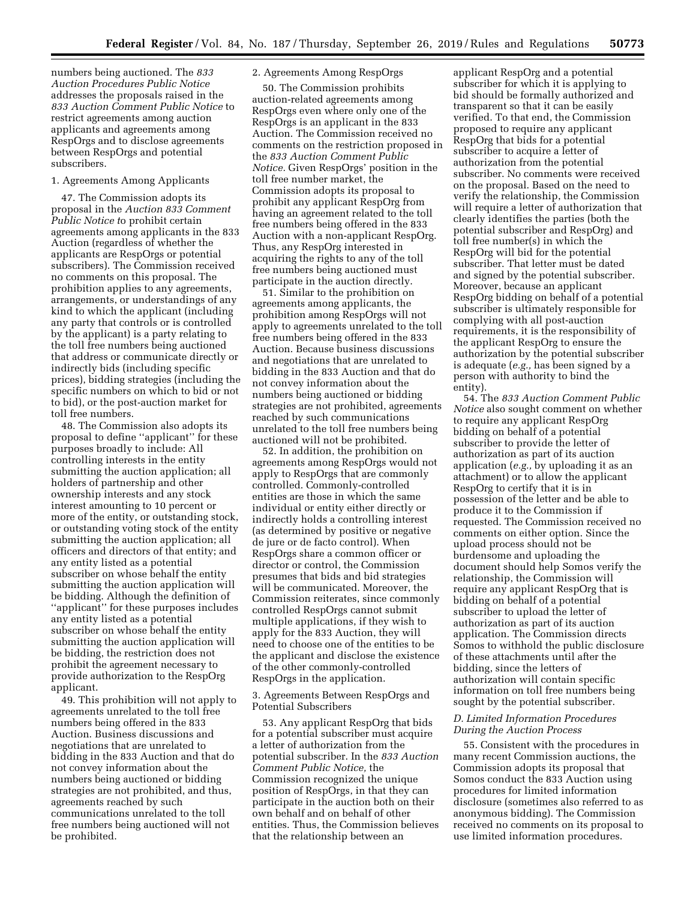numbers being auctioned. The *833 Auction Procedures Public Notice*  addresses the proposals raised in the *833 Auction Comment Public Notice* to restrict agreements among auction applicants and agreements among RespOrgs and to disclose agreements between RespOrgs and potential subscribers.

## 1. Agreements Among Applicants

47. The Commission adopts its proposal in the *Auction 833 Comment Public Notice t*o prohibit certain agreements among applicants in the 833 Auction (regardless of whether the applicants are RespOrgs or potential subscribers). The Commission received no comments on this proposal. The prohibition applies to any agreements, arrangements, or understandings of any kind to which the applicant (including any party that controls or is controlled by the applicant) is a party relating to the toll free numbers being auctioned that address or communicate directly or indirectly bids (including specific prices), bidding strategies (including the specific numbers on which to bid or not to bid), or the post-auction market for toll free numbers.

48. The Commission also adopts its proposal to define ''applicant'' for these purposes broadly to include: All controlling interests in the entity submitting the auction application; all holders of partnership and other ownership interests and any stock interest amounting to 10 percent or more of the entity, or outstanding stock, or outstanding voting stock of the entity submitting the auction application; all officers and directors of that entity; and any entity listed as a potential subscriber on whose behalf the entity submitting the auction application will be bidding. Although the definition of ''applicant'' for these purposes includes any entity listed as a potential subscriber on whose behalf the entity submitting the auction application will be bidding, the restriction does not prohibit the agreement necessary to provide authorization to the RespOrg applicant.

49. This prohibition will not apply to agreements unrelated to the toll free numbers being offered in the 833 Auction. Business discussions and negotiations that are unrelated to bidding in the 833 Auction and that do not convey information about the numbers being auctioned or bidding strategies are not prohibited, and thus, agreements reached by such communications unrelated to the toll free numbers being auctioned will not be prohibited.

# 2. Agreements Among RespOrgs

50. The Commission prohibits auction-related agreements among RespOrgs even where only one of the RespOrgs is an applicant in the 833 Auction. The Commission received no comments on the restriction proposed in the *833 Auction Comment Public Notice.* Given RespOrgs' position in the toll free number market, the Commission adopts its proposal to prohibit any applicant RespOrg from having an agreement related to the toll free numbers being offered in the 833 Auction with a non-applicant RespOrg. Thus, any RespOrg interested in acquiring the rights to any of the toll free numbers being auctioned must participate in the auction directly.

51. Similar to the prohibition on agreements among applicants, the prohibition among RespOrgs will not apply to agreements unrelated to the toll free numbers being offered in the 833 Auction. Because business discussions and negotiations that are unrelated to bidding in the 833 Auction and that do not convey information about the numbers being auctioned or bidding strategies are not prohibited, agreements reached by such communications unrelated to the toll free numbers being auctioned will not be prohibited.

52. In addition, the prohibition on agreements among RespOrgs would not apply to RespOrgs that are commonly controlled. Commonly-controlled entities are those in which the same individual or entity either directly or indirectly holds a controlling interest (as determined by positive or negative de jure or de facto control). When RespOrgs share a common officer or director or control, the Commission presumes that bids and bid strategies will be communicated. Moreover, the Commission reiterates, since commonly controlled RespOrgs cannot submit multiple applications, if they wish to apply for the 833 Auction, they will need to choose one of the entities to be the applicant and disclose the existence of the other commonly-controlled RespOrgs in the application.

3. Agreements Between RespOrgs and Potential Subscribers

53. Any applicant RespOrg that bids for a potential subscriber must acquire a letter of authorization from the potential subscriber. In the *833 Auction Comment Public Notice,* the Commission recognized the unique position of RespOrgs, in that they can participate in the auction both on their own behalf and on behalf of other entities. Thus, the Commission believes that the relationship between an

applicant RespOrg and a potential subscriber for which it is applying to bid should be formally authorized and transparent so that it can be easily verified. To that end, the Commission proposed to require any applicant RespOrg that bids for a potential subscriber to acquire a letter of authorization from the potential subscriber. No comments were received on the proposal. Based on the need to verify the relationship, the Commission will require a letter of authorization that clearly identifies the parties (both the potential subscriber and RespOrg) and toll free number(s) in which the RespOrg will bid for the potential subscriber. That letter must be dated and signed by the potential subscriber. Moreover, because an applicant RespOrg bidding on behalf of a potential subscriber is ultimately responsible for complying with all post-auction requirements, it is the responsibility of the applicant RespOrg to ensure the authorization by the potential subscriber is adequate (*e.g.,* has been signed by a person with authority to bind the entity).

54. The *833 Auction Comment Public Notice* also sought comment on whether to require any applicant RespOrg bidding on behalf of a potential subscriber to provide the letter of authorization as part of its auction application (*e.g.,* by uploading it as an attachment) or to allow the applicant RespOrg to certify that it is in possession of the letter and be able to produce it to the Commission if requested. The Commission received no comments on either option. Since the upload process should not be burdensome and uploading the document should help Somos verify the relationship, the Commission will require any applicant RespOrg that is bidding on behalf of a potential subscriber to upload the letter of authorization as part of its auction application. The Commission directs Somos to withhold the public disclosure of these attachments until after the bidding, since the letters of authorization will contain specific information on toll free numbers being sought by the potential subscriber.

## *D. Limited Information Procedures During the Auction Process*

55. Consistent with the procedures in many recent Commission auctions, the Commission adopts its proposal that Somos conduct the 833 Auction using procedures for limited information disclosure (sometimes also referred to as anonymous bidding). The Commission received no comments on its proposal to use limited information procedures.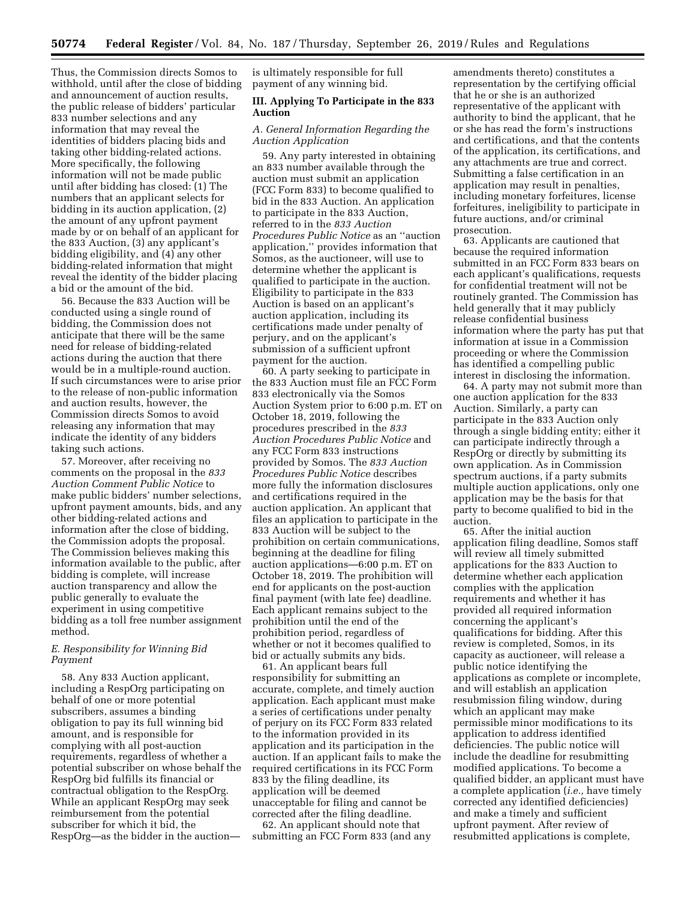Thus, the Commission directs Somos to withhold, until after the close of bidding and announcement of auction results, the public release of bidders' particular 833 number selections and any information that may reveal the identities of bidders placing bids and taking other bidding-related actions. More specifically, the following information will not be made public until after bidding has closed: (1) The numbers that an applicant selects for bidding in its auction application, (2) the amount of any upfront payment made by or on behalf of an applicant for the 833 Auction, (3) any applicant's bidding eligibility, and (4) any other bidding-related information that might reveal the identity of the bidder placing a bid or the amount of the bid.

56. Because the 833 Auction will be conducted using a single round of bidding, the Commission does not anticipate that there will be the same need for release of bidding-related actions during the auction that there would be in a multiple-round auction. If such circumstances were to arise prior to the release of non-public information and auction results, however, the Commission directs Somos to avoid releasing any information that may indicate the identity of any bidders taking such actions.

57. Moreover, after receiving no comments on the proposal in the *833 Auction Comment Public Notice* to make public bidders' number selections, upfront payment amounts, bids, and any other bidding-related actions and information after the close of bidding, the Commission adopts the proposal. The Commission believes making this information available to the public, after bidding is complete, will increase auction transparency and allow the public generally to evaluate the experiment in using competitive bidding as a toll free number assignment method.

# *E. Responsibility for Winning Bid Payment*

58. Any 833 Auction applicant, including a RespOrg participating on behalf of one or more potential subscribers, assumes a binding obligation to pay its full winning bid amount, and is responsible for complying with all post-auction requirements, regardless of whether a potential subscriber on whose behalf the RespOrg bid fulfills its financial or contractual obligation to the RespOrg. While an applicant RespOrg may seek reimbursement from the potential subscriber for which it bid, the RespOrg—as the bidder in the auction—

is ultimately responsible for full payment of any winning bid.

### **III. Applying To Participate in the 833 Auction**

# *A. General Information Regarding the Auction Application*

59. Any party interested in obtaining an 833 number available through the auction must submit an application (FCC Form 833) to become qualified to bid in the 833 Auction. An application to participate in the 833 Auction, referred to in the *833 Auction Procedures Public Notice* as an ''auction application,'' provides information that Somos, as the auctioneer, will use to determine whether the applicant is qualified to participate in the auction. Eligibility to participate in the 833 Auction is based on an applicant's auction application, including its certifications made under penalty of perjury, and on the applicant's submission of a sufficient upfront payment for the auction.

60. A party seeking to participate in the 833 Auction must file an FCC Form 833 electronically via the Somos Auction System prior to 6:00 p.m. ET on October 18, 2019, following the procedures prescribed in the *833 Auction Procedures Public Notice* and any FCC Form 833 instructions provided by Somos. The *833 Auction Procedures Public Notice* describes more fully the information disclosures and certifications required in the auction application. An applicant that files an application to participate in the 833 Auction will be subject to the prohibition on certain communications, beginning at the deadline for filing auction applications—6:00 p.m. ET on October 18, 2019. The prohibition will end for applicants on the post-auction final payment (with late fee) deadline. Each applicant remains subject to the prohibition until the end of the prohibition period, regardless of whether or not it becomes qualified to bid or actually submits any bids.

61. An applicant bears full responsibility for submitting an accurate, complete, and timely auction application. Each applicant must make a series of certifications under penalty of perjury on its FCC Form 833 related to the information provided in its application and its participation in the auction. If an applicant fails to make the required certifications in its FCC Form 833 by the filing deadline, its application will be deemed unacceptable for filing and cannot be corrected after the filing deadline.

62. An applicant should note that submitting an FCC Form 833 (and any amendments thereto) constitutes a representation by the certifying official that he or she is an authorized representative of the applicant with authority to bind the applicant, that he or she has read the form's instructions and certifications, and that the contents of the application, its certifications, and any attachments are true and correct. Submitting a false certification in an application may result in penalties, including monetary forfeitures, license forfeitures, ineligibility to participate in future auctions, and/or criminal prosecution.

63. Applicants are cautioned that because the required information submitted in an FCC Form 833 bears on each applicant's qualifications, requests for confidential treatment will not be routinely granted. The Commission has held generally that it may publicly release confidential business information where the party has put that information at issue in a Commission proceeding or where the Commission has identified a compelling public interest in disclosing the information.

64. A party may not submit more than one auction application for the 833 Auction. Similarly, a party can participate in the 833 Auction only through a single bidding entity; either it can participate indirectly through a RespOrg or directly by submitting its own application. As in Commission spectrum auctions, if a party submits multiple auction applications, only one application may be the basis for that party to become qualified to bid in the auction.

65. After the initial auction application filing deadline, Somos staff will review all timely submitted applications for the 833 Auction to determine whether each application complies with the application requirements and whether it has provided all required information concerning the applicant's qualifications for bidding. After this review is completed, Somos, in its capacity as auctioneer, will release a public notice identifying the applications as complete or incomplete, and will establish an application resubmission filing window, during which an applicant may make permissible minor modifications to its application to address identified deficiencies. The public notice will include the deadline for resubmitting modified applications. To become a qualified bidder, an applicant must have a complete application (*i.e.,* have timely corrected any identified deficiencies) and make a timely and sufficient upfront payment. After review of resubmitted applications is complete,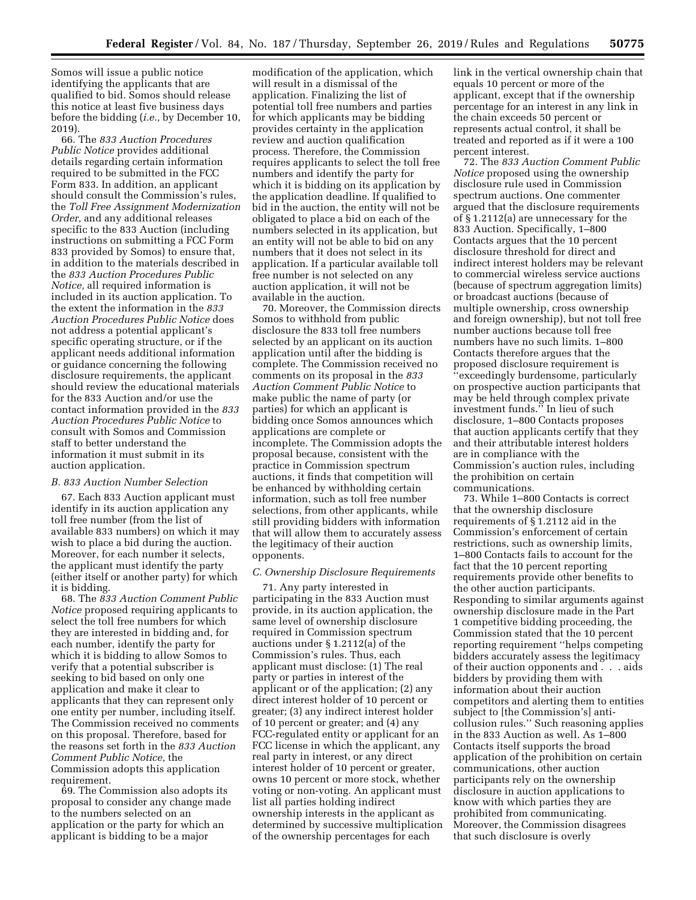Somos will issue a public notice identifying the applicants that are qualified to bid. Somos should release this notice at least five business days before the bidding (*i.e.,* by December 10, 2019).

66. The *833 Auction Procedures Public Notice* provides additional details regarding certain information required to be submitted in the FCC Form 833. In addition, an applicant should consult the Commission's rules, the *Toll Free Assignment Modernization Order,* and any additional releases specific to the 833 Auction (including instructions on submitting a FCC Form 833 provided by Somos) to ensure that, in addition to the materials described in the *833 Auction Procedures Public Notice,* all required information is included in its auction application. To the extent the information in the *833 Auction Procedures Public Notice* does not address a potential applicant's specific operating structure, or if the applicant needs additional information or guidance concerning the following disclosure requirements, the applicant should review the educational materials for the 833 Auction and/or use the contact information provided in the *833 Auction Procedures Public Notice* to consult with Somos and Commission staff to better understand the information it must submit in its auction application.

## *B. 833 Auction Number Selection*

67. Each 833 Auction applicant must identify in its auction application any toll free number (from the list of available 833 numbers) on which it may wish to place a bid during the auction. Moreover, for each number it selects, the applicant must identify the party (either itself or another party) for which it is bidding.

68. The *833 Auction Comment Public Notice* proposed requiring applicants to select the toll free numbers for which they are interested in bidding and, for each number, identify the party for which it is bidding to allow Somos to verify that a potential subscriber is seeking to bid based on only one application and make it clear to applicants that they can represent only one entity per number, including itself. The Commission received no comments on this proposal. Therefore, based for the reasons set forth in the *833 Auction Comment Public Notice,* the Commission adopts this application requirement.

69. The Commission also adopts its proposal to consider any change made to the numbers selected on an application or the party for which an applicant is bidding to be a major

modification of the application, which will result in a dismissal of the application. Finalizing the list of potential toll free numbers and parties for which applicants may be bidding provides certainty in the application review and auction qualification process. Therefore, the Commission requires applicants to select the toll free numbers and identify the party for which it is bidding on its application by the application deadline. If qualified to bid in the auction, the entity will not be obligated to place a bid on each of the numbers selected in its application, but an entity will not be able to bid on any numbers that it does not select in its application. If a particular available toll free number is not selected on any auction application, it will not be available in the auction.

70. Moreover, the Commission directs Somos to withhold from public disclosure the 833 toll free numbers selected by an applicant on its auction application until after the bidding is complete. The Commission received no comments on its proposal in the *833 Auction Comment Public Notice* to make public the name of party (or parties) for which an applicant is bidding once Somos announces which applications are complete or incomplete. The Commission adopts the proposal because, consistent with the practice in Commission spectrum auctions, it finds that competition will be enhanced by withholding certain information, such as toll free number selections, from other applicants, while still providing bidders with information that will allow them to accurately assess the legitimacy of their auction opponents.

# *C. Ownership Disclosure Requirements*

71. Any party interested in participating in the 833 Auction must provide, in its auction application, the same level of ownership disclosure required in Commission spectrum auctions under § 1.2112(a) of the Commission's rules. Thus, each applicant must disclose: (1) The real party or parties in interest of the applicant or of the application; (2) any direct interest holder of 10 percent or greater; (3) any indirect interest holder of 10 percent or greater; and (4) any FCC-regulated entity or applicant for an FCC license in which the applicant, any real party in interest, or any direct interest holder of 10 percent or greater, owns 10 percent or more stock, whether voting or non-voting. An applicant must list all parties holding indirect ownership interests in the applicant as determined by successive multiplication of the ownership percentages for each

link in the vertical ownership chain that equals 10 percent or more of the applicant, except that if the ownership percentage for an interest in any link in the chain exceeds 50 percent or represents actual control, it shall be treated and reported as if it were a 100 percent interest.

72. The *833 Auction Comment Public Notice* proposed using the ownership disclosure rule used in Commission spectrum auctions. One commenter argued that the disclosure requirements of § 1.2112(a) are unnecessary for the 833 Auction. Specifically, 1–800 Contacts argues that the 10 percent disclosure threshold for direct and indirect interest holders may be relevant to commercial wireless service auctions (because of spectrum aggregation limits) or broadcast auctions (because of multiple ownership, cross ownership and foreign ownership), but not toll free number auctions because toll free numbers have no such limits. 1–800 Contacts therefore argues that the proposed disclosure requirement is ''exceedingly burdensome, particularly on prospective auction participants that may be held through complex private investment funds.'' In lieu of such disclosure, 1–800 Contacts proposes that auction applicants certify that they and their attributable interest holders are in compliance with the Commission's auction rules, including the prohibition on certain communications.

73. While 1–800 Contacts is correct that the ownership disclosure requirements of § 1.2112 aid in the Commission's enforcement of certain restrictions, such as ownership limits, 1–800 Contacts fails to account for the fact that the 10 percent reporting requirements provide other benefits to the other auction participants. Responding to similar arguments against ownership disclosure made in the Part 1 competitive bidding proceeding, the Commission stated that the 10 percent reporting requirement ''helps competing bidders accurately assess the legitimacy of their auction opponents and . . . aids bidders by providing them with information about their auction competitors and alerting them to entities subject to [the Commission's] anticollusion rules.'' Such reasoning applies in the 833 Auction as well. As 1–800 Contacts itself supports the broad application of the prohibition on certain communications, other auction participants rely on the ownership disclosure in auction applications to know with which parties they are prohibited from communicating. Moreover, the Commission disagrees that such disclosure is overly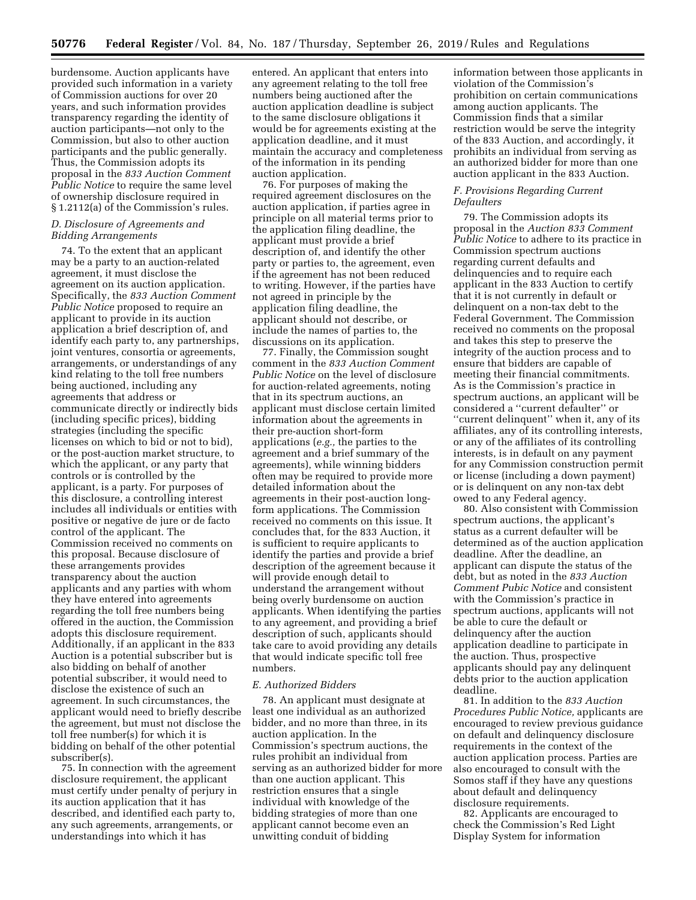burdensome. Auction applicants have provided such information in a variety of Commission auctions for over 20 years, and such information provides transparency regarding the identity of auction participants—not only to the Commission, but also to other auction participants and the public generally. Thus, the Commission adopts its proposal in the *833 Auction Comment Public Notice* to require the same level of ownership disclosure required in § 1.2112(a) of the Commission's rules.

# *D. Disclosure of Agreements and Bidding Arrangements*

74. To the extent that an applicant may be a party to an auction-related agreement, it must disclose the agreement on its auction application. Specifically, the *833 Auction Comment Public Notice* proposed to require an applicant to provide in its auction application a brief description of, and identify each party to, any partnerships, joint ventures, consortia or agreements, arrangements, or understandings of any kind relating to the toll free numbers being auctioned, including any agreements that address or communicate directly or indirectly bids (including specific prices), bidding strategies (including the specific licenses on which to bid or not to bid), or the post-auction market structure, to which the applicant, or any party that controls or is controlled by the applicant, is a party. For purposes of this disclosure, a controlling interest includes all individuals or entities with positive or negative de jure or de facto control of the applicant. The Commission received no comments on this proposal. Because disclosure of these arrangements provides transparency about the auction applicants and any parties with whom they have entered into agreements regarding the toll free numbers being offered in the auction, the Commission adopts this disclosure requirement. Additionally, if an applicant in the 833 Auction is a potential subscriber but is also bidding on behalf of another potential subscriber, it would need to disclose the existence of such an agreement. In such circumstances, the applicant would need to briefly describe the agreement, but must not disclose the toll free number(s) for which it is bidding on behalf of the other potential subscriber(s).

75. In connection with the agreement disclosure requirement, the applicant must certify under penalty of perjury in its auction application that it has described, and identified each party to, any such agreements, arrangements, or understandings into which it has

entered. An applicant that enters into any agreement relating to the toll free numbers being auctioned after the auction application deadline is subject to the same disclosure obligations it would be for agreements existing at the application deadline, and it must maintain the accuracy and completeness of the information in its pending auction application.

76. For purposes of making the required agreement disclosures on the auction application, if parties agree in principle on all material terms prior to the application filing deadline, the applicant must provide a brief description of, and identify the other party or parties to, the agreement, even if the agreement has not been reduced to writing. However, if the parties have not agreed in principle by the application filing deadline, the applicant should not describe, or include the names of parties to, the discussions on its application.

77. Finally, the Commission sought comment in the *833 Auction Comment Public Notice* on the level of disclosure for auction-related agreements, noting that in its spectrum auctions, an applicant must disclose certain limited information about the agreements in their pre-auction short-form applications (*e.g.,* the parties to the agreement and a brief summary of the agreements), while winning bidders often may be required to provide more detailed information about the agreements in their post-auction longform applications. The Commission received no comments on this issue. It concludes that, for the 833 Auction, it is sufficient to require applicants to identify the parties and provide a brief description of the agreement because it will provide enough detail to understand the arrangement without being overly burdensome on auction applicants. When identifying the parties to any agreement, and providing a brief description of such, applicants should take care to avoid providing any details that would indicate specific toll free numbers.

#### *E. Authorized Bidders*

78. An applicant must designate at least one individual as an authorized bidder, and no more than three, in its auction application. In the Commission's spectrum auctions, the rules prohibit an individual from serving as an authorized bidder for more than one auction applicant. This restriction ensures that a single individual with knowledge of the bidding strategies of more than one applicant cannot become even an unwitting conduit of bidding

information between those applicants in violation of the Commission's prohibition on certain communications among auction applicants. The Commission finds that a similar restriction would be serve the integrity of the 833 Auction, and accordingly, it prohibits an individual from serving as an authorized bidder for more than one auction applicant in the 833 Auction.

#### *F. Provisions Regarding Current Defaulters*

79. The Commission adopts its proposal in the *Auction 833 Comment Public Notice* to adhere to its practice in Commission spectrum auctions regarding current defaults and delinquencies and to require each applicant in the 833 Auction to certify that it is not currently in default or delinquent on a non-tax debt to the Federal Government. The Commission received no comments on the proposal and takes this step to preserve the integrity of the auction process and to ensure that bidders are capable of meeting their financial commitments. As is the Commission's practice in spectrum auctions, an applicant will be considered a ''current defaulter'' or ''current delinquent'' when it, any of its affiliates, any of its controlling interests, or any of the affiliates of its controlling interests, is in default on any payment for any Commission construction permit or license (including a down payment) or is delinquent on any non-tax debt owed to any Federal agency.

80. Also consistent with Commission spectrum auctions, the applicant's status as a current defaulter will be determined as of the auction application deadline. After the deadline, an applicant can dispute the status of the debt, but as noted in the *833 Auction Comment Pubic Notice* and consistent with the Commission's practice in spectrum auctions, applicants will not be able to cure the default or delinquency after the auction application deadline to participate in the auction. Thus, prospective applicants should pay any delinquent debts prior to the auction application deadline.

81. In addition to the *833 Auction Procedures Public Notice,* applicants are encouraged to review previous guidance on default and delinquency disclosure requirements in the context of the auction application process. Parties are also encouraged to consult with the Somos staff if they have any questions about default and delinquency disclosure requirements.

82. Applicants are encouraged to check the Commission's Red Light Display System for information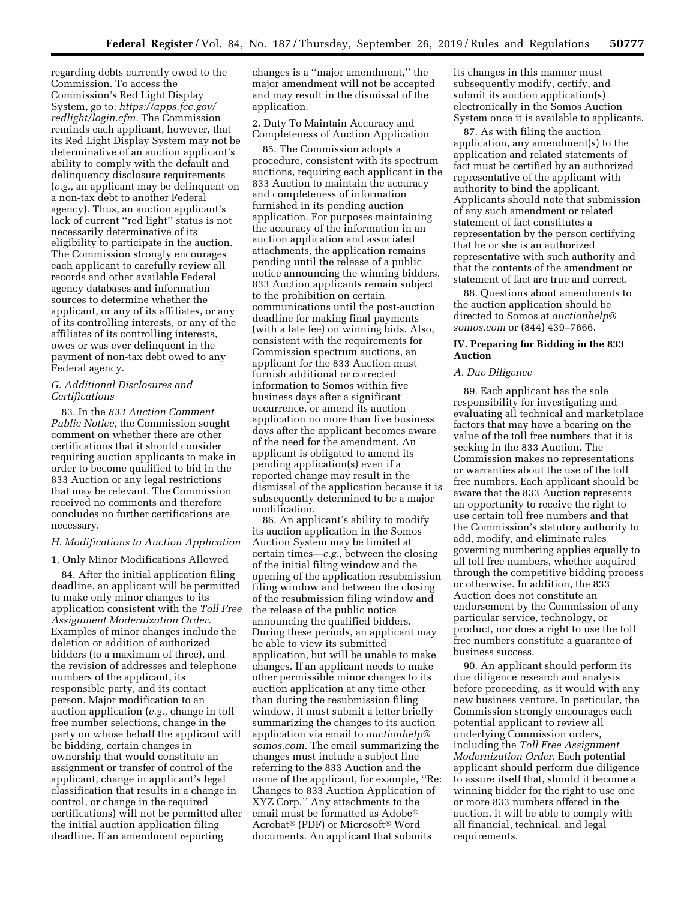regarding debts currently owed to the Commission. To access the Commission's Red Light Display System, go to: *[https://apps.fcc.gov/](https://apps.fcc.gov/redlight/login.cfm) [redlight/login.cfm.](https://apps.fcc.gov/redlight/login.cfm)* The Commission reminds each applicant, however, that its Red Light Display System may not be determinative of an auction applicant's ability to comply with the default and delinquency disclosure requirements (*e.g.,* an applicant may be delinquent on a non-tax debt to another Federal agency). Thus, an auction applicant's lack of current ''red light'' status is not necessarily determinative of its eligibility to participate in the auction. The Commission strongly encourages each applicant to carefully review all records and other available Federal agency databases and information sources to determine whether the applicant, or any of its affiliates, or any of its controlling interests, or any of the affiliates of its controlling interests, owes or was ever delinquent in the payment of non-tax debt owed to any Federal agency.

# *G. Additional Disclosures and Certifications*

83. In the *833 Auction Comment Public Notice,* the Commission sought comment on whether there are other certifications that it should consider requiring auction applicants to make in order to become qualified to bid in the 833 Auction or any legal restrictions that may be relevant. The Commission received no comments and therefore concludes no further certifications are necessary.

# *H. Modifications to Auction Application*

1. Only Minor Modifications Allowed

84. After the initial application filing deadline, an applicant will be permitted to make only minor changes to its application consistent with the *Toll Free Assignment Modernization Order.*  Examples of minor changes include the deletion or addition of authorized bidders (to a maximum of three), and the revision of addresses and telephone numbers of the applicant, its responsible party, and its contact person. Major modification to an auction application (*e.g.,* change in toll free number selections, change in the party on whose behalf the applicant will be bidding, certain changes in ownership that would constitute an assignment or transfer of control of the applicant, change in applicant's legal classification that results in a change in control, or change in the required certifications) will not be permitted after the initial auction application filing deadline. If an amendment reporting

changes is a ''major amendment,'' the major amendment will not be accepted and may result in the dismissal of the application.

2. Duty To Maintain Accuracy and Completeness of Auction Application

85. The Commission adopts a procedure, consistent with its spectrum auctions, requiring each applicant in the 833 Auction to maintain the accuracy and completeness of information furnished in its pending auction application. For purposes maintaining the accuracy of the information in an auction application and associated attachments, the application remains pending until the release of a public notice announcing the winning bidders. 833 Auction applicants remain subject to the prohibition on certain communications until the post-auction deadline for making final payments (with a late fee) on winning bids. Also, consistent with the requirements for Commission spectrum auctions, an applicant for the 833 Auction must furnish additional or corrected information to Somos within five business days after a significant occurrence, or amend its auction application no more than five business days after the applicant becomes aware of the need for the amendment. An applicant is obligated to amend its pending application(s) even if a reported change may result in the dismissal of the application because it is subsequently determined to be a major modification.

86. An applicant's ability to modify its auction application in the Somos Auction System may be limited at certain times—*e.g.,* between the closing of the initial filing window and the opening of the application resubmission filing window and between the closing of the resubmission filing window and the release of the public notice announcing the qualified bidders. During these periods, an applicant may be able to view its submitted application, but will be unable to make changes. If an applicant needs to make other permissible minor changes to its auction application at any time other than during the resubmission filing window, it must submit a letter briefly summarizing the changes to its auction application via email to *[auctionhelp@](mailto:auctionhelp@somos.com) [somos.com.](mailto:auctionhelp@somos.com)* The email summarizing the changes must include a subject line referring to the 833 Auction and the name of the applicant, for example, ''Re: Changes to 833 Auction Application of XYZ Corp.'' Any attachments to the email must be formatted as Adobe® Acrobat® (PDF) or Microsoft® Word documents. An applicant that submits

its changes in this manner must subsequently modify, certify, and submit its auction application(s) electronically in the Somos Auction System once it is available to applicants.

87. As with filing the auction application, any amendment(s) to the application and related statements of fact must be certified by an authorized representative of the applicant with authority to bind the applicant. Applicants should note that submission of any such amendment or related statement of fact constitutes a representation by the person certifying that he or she is an authorized representative with such authority and that the contents of the amendment or statement of fact are true and correct.

88. Questions about amendments to the auction application should be directed to Somos at *[auctionhelp@](mailto:auctionhelp@somos.com) [somos.com](mailto:auctionhelp@somos.com)* or (844) 439–7666.

# **IV. Preparing for Bidding in the 833 Auction**

## *A. Due Diligence*

89. Each applicant has the sole responsibility for investigating and evaluating all technical and marketplace factors that may have a bearing on the value of the toll free numbers that it is seeking in the 833 Auction. The Commission makes no representations or warranties about the use of the toll free numbers. Each applicant should be aware that the 833 Auction represents an opportunity to receive the right to use certain toll free numbers and that the Commission's statutory authority to add, modify, and eliminate rules governing numbering applies equally to all toll free numbers, whether acquired through the competitive bidding process or otherwise. In addition, the 833 Auction does not constitute an endorsement by the Commission of any particular service, technology, or product, nor does a right to use the toll free numbers constitute a guarantee of business success.

90. An applicant should perform its due diligence research and analysis before proceeding, as it would with any new business venture. In particular, the Commission strongly encourages each potential applicant to review all underlying Commission orders, including the *Toll Free Assignment Modernization Order.* Each potential applicant should perform due diligence to assure itself that, should it become a winning bidder for the right to use one or more 833 numbers offered in the auction, it will be able to comply with all financial, technical, and legal requirements.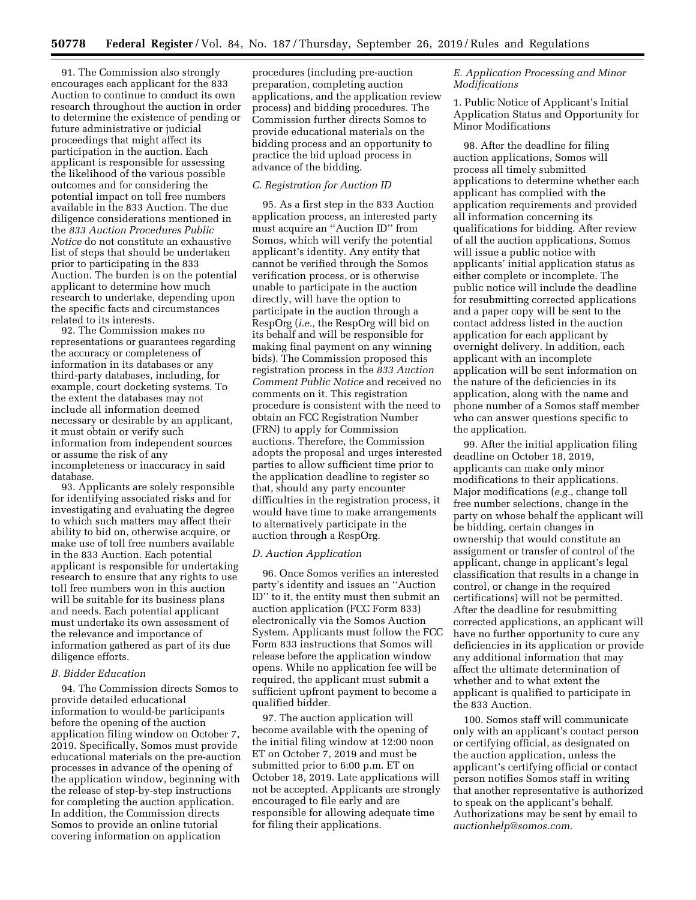91. The Commission also strongly encourages each applicant for the 833 Auction to continue to conduct its own research throughout the auction in order to determine the existence of pending or future administrative or judicial proceedings that might affect its participation in the auction. Each applicant is responsible for assessing the likelihood of the various possible outcomes and for considering the potential impact on toll free numbers available in the 833 Auction. The due diligence considerations mentioned in the *833 Auction Procedures Public Notice* do not constitute an exhaustive list of steps that should be undertaken prior to participating in the 833 Auction. The burden is on the potential applicant to determine how much research to undertake, depending upon the specific facts and circumstances related to its interests.

92. The Commission makes no representations or guarantees regarding the accuracy or completeness of information in its databases or any third-party databases, including, for example, court docketing systems. To the extent the databases may not include all information deemed necessary or desirable by an applicant, it must obtain or verify such information from independent sources or assume the risk of any incompleteness or inaccuracy in said database.

93. Applicants are solely responsible for identifying associated risks and for investigating and evaluating the degree to which such matters may affect their ability to bid on, otherwise acquire, or make use of toll free numbers available in the 833 Auction. Each potential applicant is responsible for undertaking research to ensure that any rights to use toll free numbers won in this auction will be suitable for its business plans and needs. Each potential applicant must undertake its own assessment of the relevance and importance of information gathered as part of its due diligence efforts.

#### *B. Bidder Education*

94. The Commission directs Somos to provide detailed educational information to would-be participants before the opening of the auction application filing window on October 7, 2019. Specifically, Somos must provide educational materials on the pre-auction processes in advance of the opening of the application window, beginning with the release of step-by-step instructions for completing the auction application. In addition, the Commission directs Somos to provide an online tutorial covering information on application

procedures (including pre-auction preparation, completing auction applications, and the application review process) and bidding procedures. The Commission further directs Somos to provide educational materials on the bidding process and an opportunity to practice the bid upload process in advance of the bidding.

## *C. Registration for Auction ID*

95. As a first step in the 833 Auction application process, an interested party must acquire an ''Auction ID'' from Somos, which will verify the potential applicant's identity. Any entity that cannot be verified through the Somos verification process, or is otherwise unable to participate in the auction directly, will have the option to participate in the auction through a RespOrg (*i.e.,* the RespOrg will bid on its behalf and will be responsible for making final payment on any winning bids). The Commission proposed this registration process in the *833 Auction Comment Public Notice* and received no comments on it. This registration procedure is consistent with the need to obtain an FCC Registration Number (FRN) to apply for Commission auctions. Therefore, the Commission adopts the proposal and urges interested parties to allow sufficient time prior to the application deadline to register so that, should any party encounter difficulties in the registration process, it would have time to make arrangements to alternatively participate in the auction through a RespOrg.

## *D. Auction Application*

96. Once Somos verifies an interested party's identity and issues an ''Auction ID'' to it, the entity must then submit an auction application (FCC Form 833) electronically via the Somos Auction System. Applicants must follow the FCC Form 833 instructions that Somos will release before the application window opens. While no application fee will be required, the applicant must submit a sufficient upfront payment to become a qualified bidder.

97. The auction application will become available with the opening of the initial filing window at 12:00 noon ET on October 7, 2019 and must be submitted prior to 6:00 p.m. ET on October 18, 2019. Late applications will not be accepted. Applicants are strongly encouraged to file early and are responsible for allowing adequate time for filing their applications.

## *E. Application Processing and Minor Modifications*

1. Public Notice of Applicant's Initial Application Status and Opportunity for Minor Modifications

98. After the deadline for filing auction applications, Somos will process all timely submitted applications to determine whether each applicant has complied with the application requirements and provided all information concerning its qualifications for bidding. After review of all the auction applications, Somos will issue a public notice with applicants' initial application status as either complete or incomplete. The public notice will include the deadline for resubmitting corrected applications and a paper copy will be sent to the contact address listed in the auction application for each applicant by overnight delivery. In addition, each applicant with an incomplete application will be sent information on the nature of the deficiencies in its application, along with the name and phone number of a Somos staff member who can answer questions specific to the application.

99. After the initial application filing deadline on October 18, 2019, applicants can make only minor modifications to their applications. Major modifications (*e.g.,* change toll free number selections, change in the party on whose behalf the applicant will be bidding, certain changes in ownership that would constitute an assignment or transfer of control of the applicant, change in applicant's legal classification that results in a change in control, or change in the required certifications) will not be permitted. After the deadline for resubmitting corrected applications, an applicant will have no further opportunity to cure any deficiencies in its application or provide any additional information that may affect the ultimate determination of whether and to what extent the applicant is qualified to participate in the 833 Auction.

100. Somos staff will communicate only with an applicant's contact person or certifying official, as designated on the auction application, unless the applicant's certifying official or contact person notifies Somos staff in writing that another representative is authorized to speak on the applicant's behalf. Authorizations may be sent by email to *[auctionhelp@somos.com.](mailto:auctionhelp@somos.com)*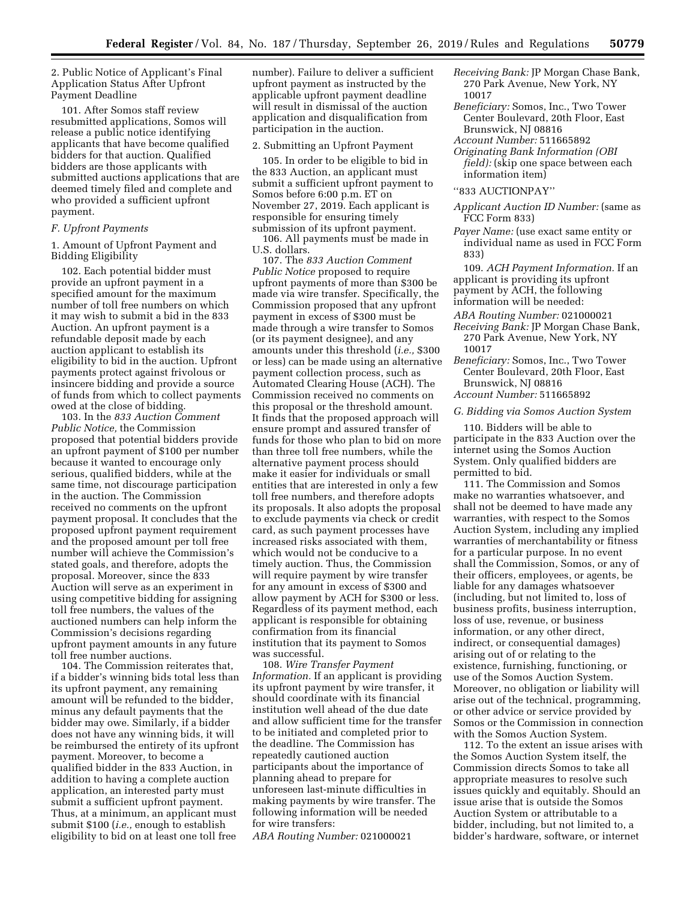2. Public Notice of Applicant's Final Application Status After Upfront Payment Deadline

101. After Somos staff review resubmitted applications, Somos will release a public notice identifying applicants that have become qualified bidders for that auction. Qualified bidders are those applicants with submitted auctions applications that are deemed timely filed and complete and who provided a sufficient upfront payment.

#### *F. Upfront Payments*

1. Amount of Upfront Payment and Bidding Eligibility

102. Each potential bidder must provide an upfront payment in a specified amount for the maximum number of toll free numbers on which it may wish to submit a bid in the 833 Auction. An upfront payment is a refundable deposit made by each auction applicant to establish its eligibility to bid in the auction. Upfront payments protect against frivolous or insincere bidding and provide a source of funds from which to collect payments owed at the close of bidding.

103. In the *833 Auction Comment Public Notice,* the Commission proposed that potential bidders provide an upfront payment of \$100 per number because it wanted to encourage only serious, qualified bidders, while at the same time, not discourage participation in the auction. The Commission received no comments on the upfront payment proposal. It concludes that the proposed upfront payment requirement and the proposed amount per toll free number will achieve the Commission's stated goals, and therefore, adopts the proposal. Moreover, since the 833 Auction will serve as an experiment in using competitive bidding for assigning toll free numbers, the values of the auctioned numbers can help inform the Commission's decisions regarding upfront payment amounts in any future toll free number auctions.

104. The Commission reiterates that, if a bidder's winning bids total less than its upfront payment, any remaining amount will be refunded to the bidder, minus any default payments that the bidder may owe. Similarly, if a bidder does not have any winning bids, it will be reimbursed the entirety of its upfront payment. Moreover, to become a qualified bidder in the 833 Auction, in addition to having a complete auction application, an interested party must submit a sufficient upfront payment. Thus, at a minimum, an applicant must submit \$100 (*i.e.,* enough to establish eligibility to bid on at least one toll free

number). Failure to deliver a sufficient upfront payment as instructed by the applicable upfront payment deadline will result in dismissal of the auction application and disqualification from participation in the auction.

#### 2. Submitting an Upfront Payment

105. In order to be eligible to bid in the 833 Auction, an applicant must submit a sufficient upfront payment to Somos before 6:00 p.m. ET on November 27, 2019. Each applicant is responsible for ensuring timely submission of its upfront payment.

106. All payments must be made in U.S. dollars.

107. The *833 Auction Comment Public Notice* proposed to require upfront payments of more than \$300 be made via wire transfer. Specifically, the Commission proposed that any upfront payment in excess of \$300 must be made through a wire transfer to Somos (or its payment designee), and any amounts under this threshold (*i.e.,* \$300 or less) can be made using an alternative payment collection process, such as Automated Clearing House (ACH). The Commission received no comments on this proposal or the threshold amount. It finds that the proposed approach will ensure prompt and assured transfer of funds for those who plan to bid on more than three toll free numbers, while the alternative payment process should make it easier for individuals or small entities that are interested in only a few toll free numbers, and therefore adopts its proposals. It also adopts the proposal to exclude payments via check or credit card, as such payment processes have increased risks associated with them, which would not be conducive to a timely auction. Thus, the Commission will require payment by wire transfer for any amount in excess of \$300 and allow payment by ACH for \$300 or less. Regardless of its payment method, each applicant is responsible for obtaining confirmation from its financial institution that its payment to Somos was successful.

108. *Wire Transfer Payment Information.* If an applicant is providing its upfront payment by wire transfer, it should coordinate with its financial institution well ahead of the due date and allow sufficient time for the transfer to be initiated and completed prior to the deadline. The Commission has repeatedly cautioned auction participants about the importance of planning ahead to prepare for unforeseen last-minute difficulties in making payments by wire transfer. The following information will be needed for wire transfers:

*ABA Routing Number:* 021000021

- *Receiving Bank:* JP Morgan Chase Bank, 270 Park Avenue, New York, NY 10017
- *Beneficiary:* Somos, Inc., Two Tower Center Boulevard, 20th Floor, East Brunswick, NJ 08816
- *Account Number:* 511665892
- *Originating Bank Information (OBI field):* (skip one space between each information item)

#### ''833 AUCTIONPAY''

- *Applicant Auction ID Number:* (same as FCC Form 833)
- *Payer Name:* (use exact same entity or individual name as used in FCC Form 833)

109. *ACH Payment Information.* If an applicant is providing its upfront payment by ACH, the following information will be needed:

- *ABA Routing Number:* 021000021
- *Receiving Bank:* JP Morgan Chase Bank, 270 Park Avenue, New York, NY 10017
- *Beneficiary:* Somos, Inc., Two Tower Center Boulevard, 20th Floor, East Brunswick, NJ 08816 *Account Number:* 511665892

#### *G. Bidding via Somos Auction System*

110. Bidders will be able to participate in the 833 Auction over the internet using the Somos Auction System. Only qualified bidders are permitted to bid.

111. The Commission and Somos make no warranties whatsoever, and shall not be deemed to have made any warranties, with respect to the Somos Auction System, including any implied warranties of merchantability or fitness for a particular purpose. In no event shall the Commission, Somos, or any of their officers, employees, or agents, be liable for any damages whatsoever (including, but not limited to, loss of business profits, business interruption, loss of use, revenue, or business information, or any other direct, indirect, or consequential damages) arising out of or relating to the existence, furnishing, functioning, or use of the Somos Auction System. Moreover, no obligation or liability will arise out of the technical, programming, or other advice or service provided by Somos or the Commission in connection with the Somos Auction System.

112. To the extent an issue arises with the Somos Auction System itself, the Commission directs Somos to take all appropriate measures to resolve such issues quickly and equitably. Should an issue arise that is outside the Somos Auction System or attributable to a bidder, including, but not limited to, a bidder's hardware, software, or internet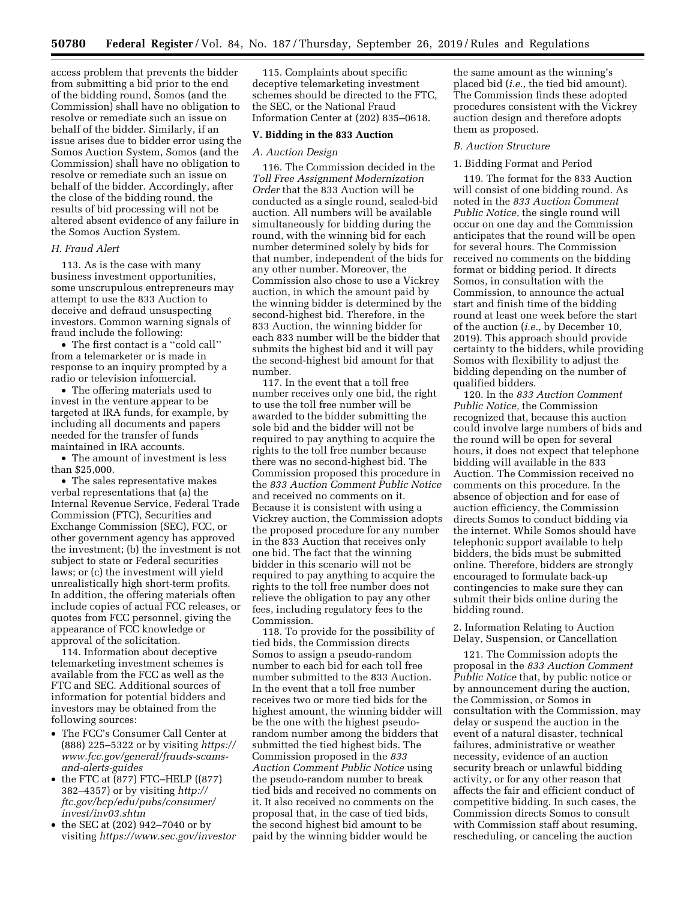access problem that prevents the bidder from submitting a bid prior to the end of the bidding round, Somos (and the Commission) shall have no obligation to resolve or remediate such an issue on behalf of the bidder. Similarly, if an issue arises due to bidder error using the Somos Auction System, Somos (and the Commission) shall have no obligation to resolve or remediate such an issue on behalf of the bidder. Accordingly, after the close of the bidding round, the results of bid processing will not be altered absent evidence of any failure in the Somos Auction System.

# *H. Fraud Alert*

113. As is the case with many business investment opportunities, some unscrupulous entrepreneurs may attempt to use the 833 Auction to deceive and defraud unsuspecting investors. Common warning signals of fraud include the following:

• The first contact is a ''cold call'' from a telemarketer or is made in response to an inquiry prompted by a radio or television infomercial.

• The offering materials used to invest in the venture appear to be targeted at IRA funds, for example, by including all documents and papers needed for the transfer of funds maintained in IRA accounts.

• The amount of investment is less than \$25,000.

• The sales representative makes verbal representations that (a) the Internal Revenue Service, Federal Trade Commission (FTC), Securities and Exchange Commission (SEC), FCC, or other government agency has approved the investment; (b) the investment is not subject to state or Federal securities laws; or (c) the investment will yield unrealistically high short-term profits. In addition, the offering materials often include copies of actual FCC releases, or quotes from FCC personnel, giving the appearance of FCC knowledge or approval of the solicitation.

114. Information about deceptive telemarketing investment schemes is available from the FCC as well as the FTC and SEC. Additional sources of information for potential bidders and investors may be obtained from the following sources:

- The FCC's Consumer Call Center at (888) 225–5322 or by visiting *[https://](https://www.fcc.gov/general/frauds-scams-and-alerts-guides) [www.fcc.gov/general/frauds-scams](https://www.fcc.gov/general/frauds-scams-and-alerts-guides)[and-alerts-guides](https://www.fcc.gov/general/frauds-scams-and-alerts-guides)*
- the FTC at (877) FTC–HELP ((877) 382–4357) or by visiting *[http://](http://ftc.gov/bcp/edu/pubs/consumer/invest/inv03.shtm) [ftc.gov/bcp/edu/pubs/consumer/](http://ftc.gov/bcp/edu/pubs/consumer/invest/inv03.shtm)  [invest/inv03.shtm](http://ftc.gov/bcp/edu/pubs/consumer/invest/inv03.shtm)*
- the SEC at (202) 942–7040 or by visiting *<https://www.sec.gov/investor>*

115. Complaints about specific deceptive telemarketing investment schemes should be directed to the FTC, the SEC, or the National Fraud Information Center at (202) 835–0618.

## **V. Bidding in the 833 Auction**

#### *A. Auction Design*

116. The Commission decided in the *Toll Free Assignment Modernization Order* that the 833 Auction will be conducted as a single round, sealed-bid auction. All numbers will be available simultaneously for bidding during the round, with the winning bid for each number determined solely by bids for that number, independent of the bids for any other number. Moreover, the Commission also chose to use a Vickrey auction, in which the amount paid by the winning bidder is determined by the second-highest bid. Therefore, in the 833 Auction, the winning bidder for each 833 number will be the bidder that submits the highest bid and it will pay the second-highest bid amount for that number.

117. In the event that a toll free number receives only one bid, the right to use the toll free number will be awarded to the bidder submitting the sole bid and the bidder will not be required to pay anything to acquire the rights to the toll free number because there was no second-highest bid. The Commission proposed this procedure in the *833 Auction Comment Public Notice*  and received no comments on it. Because it is consistent with using a Vickrey auction, the Commission adopts the proposed procedure for any number in the 833 Auction that receives only one bid. The fact that the winning bidder in this scenario will not be required to pay anything to acquire the rights to the toll free number does not relieve the obligation to pay any other fees, including regulatory fees to the Commission.

118. To provide for the possibility of tied bids, the Commission directs Somos to assign a pseudo-random number to each bid for each toll free number submitted to the 833 Auction. In the event that a toll free number receives two or more tied bids for the highest amount, the winning bidder will be the one with the highest pseudorandom number among the bidders that submitted the tied highest bids. The Commission proposed in the *833 Auction Comment Public Notice* using the pseudo-random number to break tied bids and received no comments on it. It also received no comments on the proposal that, in the case of tied bids, the second highest bid amount to be paid by the winning bidder would be

the same amount as the winning's placed bid (*i.e.,* the tied bid amount). The Commission finds these adopted procedures consistent with the Vickrey auction design and therefore adopts them as proposed.

#### *B. Auction Structure*

#### 1. Bidding Format and Period

119. The format for the 833 Auction will consist of one bidding round. As noted in the *833 Auction Comment Public Notice,* the single round will occur on one day and the Commission anticipates that the round will be open for several hours. The Commission received no comments on the bidding format or bidding period. It directs Somos, in consultation with the Commission, to announce the actual start and finish time of the bidding round at least one week before the start of the auction (*i.e.,* by December 10, 2019). This approach should provide certainty to the bidders, while providing Somos with flexibility to adjust the bidding depending on the number of qualified bidders.

120. In the *833 Auction Comment Public Notice,* the Commission recognized that, because this auction could involve large numbers of bids and the round will be open for several hours, it does not expect that telephone bidding will available in the 833 Auction. The Commission received no comments on this procedure. In the absence of objection and for ease of auction efficiency, the Commission directs Somos to conduct bidding via the internet. While Somos should have telephonic support available to help bidders, the bids must be submitted online. Therefore, bidders are strongly encouraged to formulate back-up contingencies to make sure they can submit their bids online during the bidding round.

2. Information Relating to Auction Delay, Suspension, or Cancellation

121. The Commission adopts the proposal in the *833 Auction Comment Public Notice* that, by public notice or by announcement during the auction, the Commission, or Somos in consultation with the Commission, may delay or suspend the auction in the event of a natural disaster, technical failures, administrative or weather necessity, evidence of an auction security breach or unlawful bidding activity, or for any other reason that affects the fair and efficient conduct of competitive bidding. In such cases, the Commission directs Somos to consult with Commission staff about resuming, rescheduling, or canceling the auction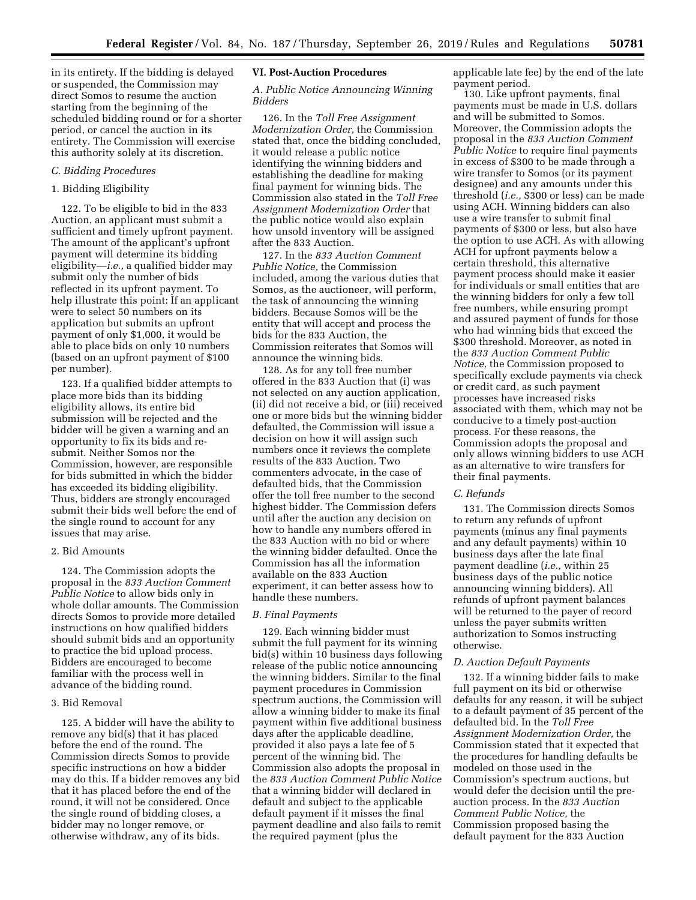in its entirety. If the bidding is delayed or suspended, the Commission may direct Somos to resume the auction starting from the beginning of the scheduled bidding round or for a shorter period, or cancel the auction in its entirety. The Commission will exercise this authority solely at its discretion.

## *C. Bidding Procedures*

# 1. Bidding Eligibility

122. To be eligible to bid in the 833 Auction, an applicant must submit a sufficient and timely upfront payment. The amount of the applicant's upfront payment will determine its bidding eligibility—*i.e.,* a qualified bidder may submit only the number of bids reflected in its upfront payment. To help illustrate this point: If an applicant were to select 50 numbers on its application but submits an upfront payment of only \$1,000, it would be able to place bids on only 10 numbers (based on an upfront payment of \$100 per number).

123. If a qualified bidder attempts to place more bids than its bidding eligibility allows, its entire bid submission will be rejected and the bidder will be given a warning and an opportunity to fix its bids and resubmit. Neither Somos nor the Commission, however, are responsible for bids submitted in which the bidder has exceeded its bidding eligibility. Thus, bidders are strongly encouraged submit their bids well before the end of the single round to account for any issues that may arise.

## 2. Bid Amounts

124. The Commission adopts the proposal in the *833 Auction Comment Public Notice* to allow bids only in whole dollar amounts. The Commission directs Somos to provide more detailed instructions on how qualified bidders should submit bids and an opportunity to practice the bid upload process. Bidders are encouraged to become familiar with the process well in advance of the bidding round.

#### 3. Bid Removal

125. A bidder will have the ability to remove any bid(s) that it has placed before the end of the round. The Commission directs Somos to provide specific instructions on how a bidder may do this. If a bidder removes any bid that it has placed before the end of the round, it will not be considered. Once the single round of bidding closes, a bidder may no longer remove, or otherwise withdraw, any of its bids.

## **VI. Post-Auction Procedures**

## *A. Public Notice Announcing Winning Bidders*

126. In the *Toll Free Assignment Modernization Order,* the Commission stated that, once the bidding concluded, it would release a public notice identifying the winning bidders and establishing the deadline for making final payment for winning bids. The Commission also stated in the *Toll Free Assignment Modernization Order* that the public notice would also explain how unsold inventory will be assigned after the 833 Auction.

127. In the *833 Auction Comment Public Notice,* the Commission included, among the various duties that Somos, as the auctioneer, will perform, the task of announcing the winning bidders. Because Somos will be the entity that will accept and process the bids for the 833 Auction, the Commission reiterates that Somos will announce the winning bids.

128. As for any toll free number offered in the 833 Auction that (i) was not selected on any auction application, (ii) did not receive a bid, or (iii) received one or more bids but the winning bidder defaulted, the Commission will issue a decision on how it will assign such numbers once it reviews the complete results of the 833 Auction. Two commenters advocate, in the case of defaulted bids, that the Commission offer the toll free number to the second highest bidder. The Commission defers until after the auction any decision on how to handle any numbers offered in the 833 Auction with no bid or where the winning bidder defaulted. Once the Commission has all the information available on the 833 Auction experiment, it can better assess how to handle these numbers.

## *B. Final Payments*

129. Each winning bidder must submit the full payment for its winning bid(s) within 10 business days following release of the public notice announcing the winning bidders. Similar to the final payment procedures in Commission spectrum auctions, the Commission will allow a winning bidder to make its final payment within five additional business days after the applicable deadline, provided it also pays a late fee of 5 percent of the winning bid. The Commission also adopts the proposal in the *833 Auction Comment Public Notice*  that a winning bidder will declared in default and subject to the applicable default payment if it misses the final payment deadline and also fails to remit the required payment (plus the

applicable late fee) by the end of the late payment period.

130. Like upfront payments, final payments must be made in U.S. dollars and will be submitted to Somos. Moreover, the Commission adopts the proposal in the *833 Auction Comment Public Notice* to require final payments in excess of \$300 to be made through a wire transfer to Somos (or its payment designee) and any amounts under this threshold (*i.e.,* \$300 or less) can be made using ACH. Winning bidders can also use a wire transfer to submit final payments of \$300 or less, but also have the option to use ACH. As with allowing ACH for upfront payments below a certain threshold, this alternative payment process should make it easier for individuals or small entities that are the winning bidders for only a few toll free numbers, while ensuring prompt and assured payment of funds for those who had winning bids that exceed the \$300 threshold. Moreover, as noted in the *833 Auction Comment Public Notice,* the Commission proposed to specifically exclude payments via check or credit card, as such payment processes have increased risks associated with them, which may not be conducive to a timely post-auction process. For these reasons, the Commission adopts the proposal and only allows winning bidders to use ACH as an alternative to wire transfers for their final payments.

#### *C. Refunds*

131. The Commission directs Somos to return any refunds of upfront payments (minus any final payments and any default payments) within 10 business days after the late final payment deadline (*i.e.,* within 25 business days of the public notice announcing winning bidders). All refunds of upfront payment balances will be returned to the payer of record unless the payer submits written authorization to Somos instructing otherwise.

### *D. Auction Default Payments*

132. If a winning bidder fails to make full payment on its bid or otherwise defaults for any reason, it will be subject to a default payment of 35 percent of the defaulted bid. In the *Toll Free Assignment Modernization Order,* the Commission stated that it expected that the procedures for handling defaults be modeled on those used in the Commission's spectrum auctions, but would defer the decision until the preauction process. In the *833 Auction Comment Public Notice,* the Commission proposed basing the default payment for the 833 Auction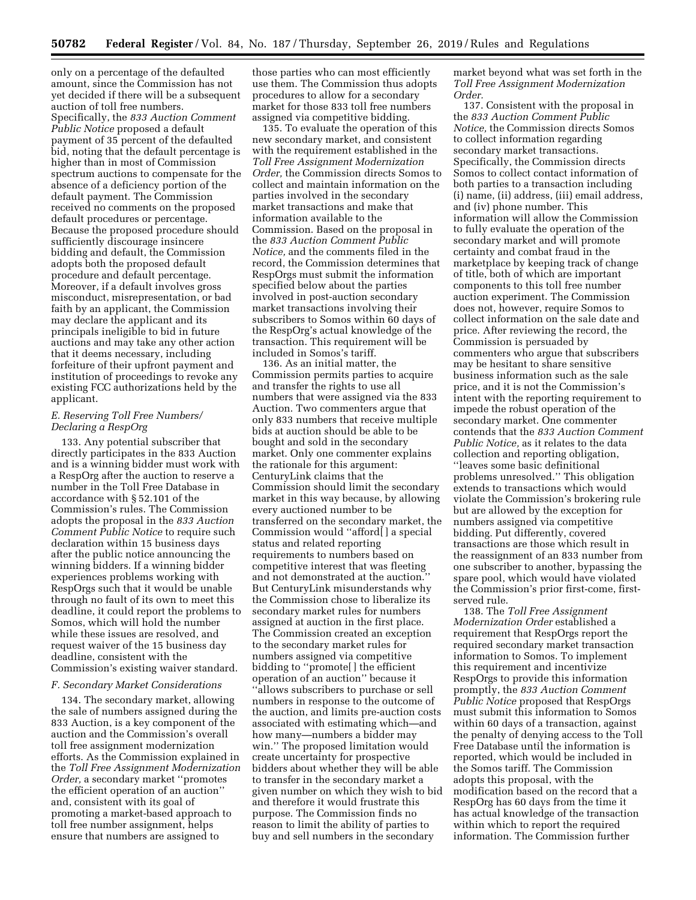only on a percentage of the defaulted amount, since the Commission has not yet decided if there will be a subsequent auction of toll free numbers. Specifically, the *833 Auction Comment Public Notice* proposed a default payment of 35 percent of the defaulted bid, noting that the default percentage is higher than in most of Commission spectrum auctions to compensate for the absence of a deficiency portion of the default payment. The Commission received no comments on the proposed default procedures or percentage. Because the proposed procedure should sufficiently discourage insincere bidding and default, the Commission adopts both the proposed default procedure and default percentage. Moreover, if a default involves gross misconduct, misrepresentation, or bad faith by an applicant, the Commission may declare the applicant and its principals ineligible to bid in future auctions and may take any other action that it deems necessary, including forfeiture of their upfront payment and institution of proceedings to revoke any existing FCC authorizations held by the applicant.

# *E. Reserving Toll Free Numbers/ Declaring a RespOrg*

133. Any potential subscriber that directly participates in the 833 Auction and is a winning bidder must work with a RespOrg after the auction to reserve a number in the Toll Free Database in accordance with § 52.101 of the Commission's rules. The Commission adopts the proposal in the *833 Auction Comment Public Notice* to require such declaration within 15 business days after the public notice announcing the winning bidders. If a winning bidder experiences problems working with RespOrgs such that it would be unable through no fault of its own to meet this deadline, it could report the problems to Somos, which will hold the number while these issues are resolved, and request waiver of the 15 business day deadline, consistent with the Commission's existing waiver standard.

## *F. Secondary Market Considerations*

134. The secondary market, allowing the sale of numbers assigned during the 833 Auction, is a key component of the auction and the Commission's overall toll free assignment modernization efforts. As the Commission explained in the *Toll Free Assignment Modernization Order,* a secondary market ''promotes the efficient operation of an auction'' and, consistent with its goal of promoting a market-based approach to toll free number assignment, helps ensure that numbers are assigned to

those parties who can most efficiently use them. The Commission thus adopts procedures to allow for a secondary market for those 833 toll free numbers assigned via competitive bidding.

135. To evaluate the operation of this new secondary market, and consistent with the requirement established in the *Toll Free Assignment Modernization Order,* the Commission directs Somos to collect and maintain information on the parties involved in the secondary market transactions and make that information available to the Commission. Based on the proposal in the *833 Auction Comment Public Notice,* and the comments filed in the record, the Commission determines that RespOrgs must submit the information specified below about the parties involved in post-auction secondary market transactions involving their subscribers to Somos within 60 days of the RespOrg's actual knowledge of the transaction. This requirement will be included in Somos's tariff.

136. As an initial matter, the Commission permits parties to acquire and transfer the rights to use all numbers that were assigned via the 833 Auction. Two commenters argue that only 833 numbers that receive multiple bids at auction should be able to be bought and sold in the secondary market. Only one commenter explains the rationale for this argument: CenturyLink claims that the Commission should limit the secondary market in this way because, by allowing every auctioned number to be transferred on the secondary market, the Commission would ''afford[ ] a special status and related reporting requirements to numbers based on competitive interest that was fleeting and not demonstrated at the auction.'' But CenturyLink misunderstands why the Commission chose to liberalize its secondary market rules for numbers assigned at auction in the first place. The Commission created an exception to the secondary market rules for numbers assigned via competitive bidding to ''promote[ ] the efficient operation of an auction'' because it ''allows subscribers to purchase or sell numbers in response to the outcome of the auction, and limits pre-auction costs associated with estimating which—and how many—numbers a bidder may win.'' The proposed limitation would create uncertainty for prospective bidders about whether they will be able to transfer in the secondary market a given number on which they wish to bid and therefore it would frustrate this purpose. The Commission finds no reason to limit the ability of parties to buy and sell numbers in the secondary

market beyond what was set forth in the *Toll Free Assignment Modernization Order.* 

137. Consistent with the proposal in the *833 Auction Comment Public Notice,* the Commission directs Somos to collect information regarding secondary market transactions. Specifically, the Commission directs Somos to collect contact information of both parties to a transaction including (i) name, (ii) address, (iii) email address, and (iv) phone number. This information will allow the Commission to fully evaluate the operation of the secondary market and will promote certainty and combat fraud in the marketplace by keeping track of change of title, both of which are important components to this toll free number auction experiment. The Commission does not, however, require Somos to collect information on the sale date and price. After reviewing the record, the Commission is persuaded by commenters who argue that subscribers may be hesitant to share sensitive business information such as the sale price, and it is not the Commission's intent with the reporting requirement to impede the robust operation of the secondary market. One commenter contends that the *833 Auction Comment Public Notice,* as it relates to the data collection and reporting obligation, ''leaves some basic definitional problems unresolved.'' This obligation extends to transactions which would violate the Commission's brokering rule but are allowed by the exception for numbers assigned via competitive bidding. Put differently, covered transactions are those which result in the reassignment of an 833 number from one subscriber to another, bypassing the spare pool, which would have violated the Commission's prior first-come, firstserved rule.

138. The *Toll Free Assignment Modernization Order* established a requirement that RespOrgs report the required secondary market transaction information to Somos. To implement this requirement and incentivize RespOrgs to provide this information promptly, the *833 Auction Comment Public Notice* proposed that RespOrgs must submit this information to Somos within 60 days of a transaction, against the penalty of denying access to the Toll Free Database until the information is reported, which would be included in the Somos tariff. The Commission adopts this proposal, with the modification based on the record that a RespOrg has 60 days from the time it has actual knowledge of the transaction within which to report the required information. The Commission further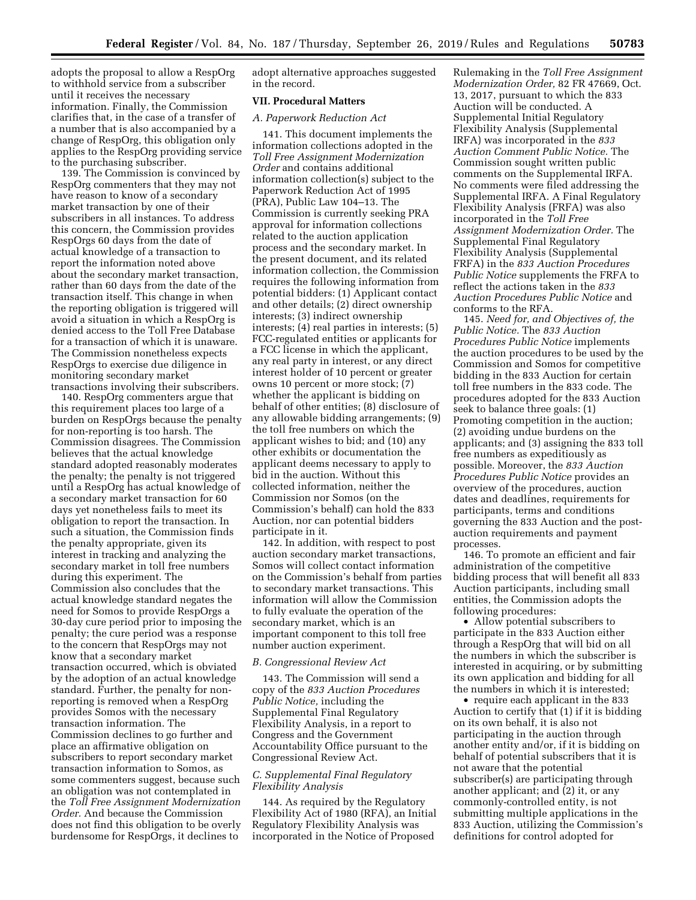adopts the proposal to allow a RespOrg to withhold service from a subscriber until it receives the necessary information. Finally, the Commission clarifies that, in the case of a transfer of a number that is also accompanied by a change of RespOrg, this obligation only applies to the RespOrg providing service to the purchasing subscriber.

139. The Commission is convinced by RespOrg commenters that they may not have reason to know of a secondary market transaction by one of their subscribers in all instances. To address this concern, the Commission provides RespOrgs 60 days from the date of actual knowledge of a transaction to report the information noted above about the secondary market transaction, rather than 60 days from the date of the transaction itself. This change in when the reporting obligation is triggered will avoid a situation in which a RespOrg is denied access to the Toll Free Database for a transaction of which it is unaware. The Commission nonetheless expects RespOrgs to exercise due diligence in monitoring secondary market transactions involving their subscribers.

140. RespOrg commenters argue that this requirement places too large of a burden on RespOrgs because the penalty for non-reporting is too harsh. The Commission disagrees. The Commission believes that the actual knowledge standard adopted reasonably moderates the penalty; the penalty is not triggered until a RespOrg has actual knowledge of a secondary market transaction for 60 days yet nonetheless fails to meet its obligation to report the transaction. In such a situation, the Commission finds the penalty appropriate, given its interest in tracking and analyzing the secondary market in toll free numbers during this experiment. The Commission also concludes that the actual knowledge standard negates the need for Somos to provide RespOrgs a 30-day cure period prior to imposing the penalty; the cure period was a response to the concern that RespOrgs may not know that a secondary market transaction occurred, which is obviated by the adoption of an actual knowledge standard. Further, the penalty for nonreporting is removed when a RespOrg provides Somos with the necessary transaction information. The Commission declines to go further and place an affirmative obligation on subscribers to report secondary market transaction information to Somos, as some commenters suggest, because such an obligation was not contemplated in the *Toll Free Assignment Modernization Order.* And because the Commission does not find this obligation to be overly burdensome for RespOrgs, it declines to

adopt alternative approaches suggested in the record.

# **VII. Procedural Matters**

### *A. Paperwork Reduction Act*

141. This document implements the information collections adopted in the *Toll Free Assignment Modernization Order* and contains additional information collection(s) subject to the Paperwork Reduction Act of 1995 (PRA), Public Law 104–13. The Commission is currently seeking PRA approval for information collections related to the auction application process and the secondary market. In the present document, and its related information collection, the Commission requires the following information from potential bidders: (1) Applicant contact and other details; (2) direct ownership interests; (3) indirect ownership interests; (4) real parties in interests; (5) FCC-regulated entities or applicants for a FCC license in which the applicant, any real party in interest, or any direct interest holder of 10 percent or greater owns 10 percent or more stock; (7) whether the applicant is bidding on behalf of other entities; (8) disclosure of any allowable bidding arrangements; (9) the toll free numbers on which the applicant wishes to bid; and (10) any other exhibits or documentation the applicant deems necessary to apply to bid in the auction. Without this collected information, neither the Commission nor Somos (on the Commission's behalf) can hold the 833 Auction, nor can potential bidders participate in it.

142. In addition, with respect to post auction secondary market transactions, Somos will collect contact information on the Commission's behalf from parties to secondary market transactions. This information will allow the Commission to fully evaluate the operation of the secondary market, which is an important component to this toll free number auction experiment.

### *B. Congressional Review Act*

143. The Commission will send a copy of the *833 Auction Procedures Public Notice,* including the Supplemental Final Regulatory Flexibility Analysis, in a report to Congress and the Government Accountability Office pursuant to the Congressional Review Act.

# *C. Supplemental Final Regulatory Flexibility Analysis*

144. As required by the Regulatory Flexibility Act of 1980 (RFA), an Initial Regulatory Flexibility Analysis was incorporated in the Notice of Proposed

Rulemaking in the *Toll Free Assignment Modernization Order,* 82 FR 47669, Oct. 13, 2017, pursuant to which the 833 Auction will be conducted. A Supplemental Initial Regulatory Flexibility Analysis (Supplemental IRFA) was incorporated in the *833 Auction Comment Public Notice.* The Commission sought written public comments on the Supplemental IRFA. No comments were filed addressing the Supplemental IRFA. A Final Regulatory Flexibility Analysis (FRFA) was also incorporated in the *Toll Free Assignment Modernization Order.* The Supplemental Final Regulatory Flexibility Analysis (Supplemental FRFA) in the *833 Auction Procedures Public Notice* supplements the FRFA to reflect the actions taken in the *833 Auction Procedures Public Notice* and conforms to the RFA.

145. *Need for, and Objectives of, the Public Notice.* The *833 Auction Procedures Public Notice* implements the auction procedures to be used by the Commission and Somos for competitive bidding in the 833 Auction for certain toll free numbers in the 833 code. The procedures adopted for the 833 Auction seek to balance three goals: (1) Promoting competition in the auction; (2) avoiding undue burdens on the applicants; and (3) assigning the 833 toll free numbers as expeditiously as possible. Moreover, the *833 Auction Procedures Public Notice* provides an overview of the procedures, auction dates and deadlines, requirements for participants, terms and conditions governing the 833 Auction and the postauction requirements and payment processes.

146. To promote an efficient and fair administration of the competitive bidding process that will benefit all 833 Auction participants, including small entities, the Commission adopts the following procedures:

• Allow potential subscribers to participate in the 833 Auction either through a RespOrg that will bid on all the numbers in which the subscriber is interested in acquiring, or by submitting its own application and bidding for all the numbers in which it is interested;

• require each applicant in the 833 Auction to certify that (1) if it is bidding on its own behalf, it is also not participating in the auction through another entity and/or, if it is bidding on behalf of potential subscribers that it is not aware that the potential subscriber(s) are participating through another applicant; and (2) it, or any commonly-controlled entity, is not submitting multiple applications in the 833 Auction, utilizing the Commission's definitions for control adopted for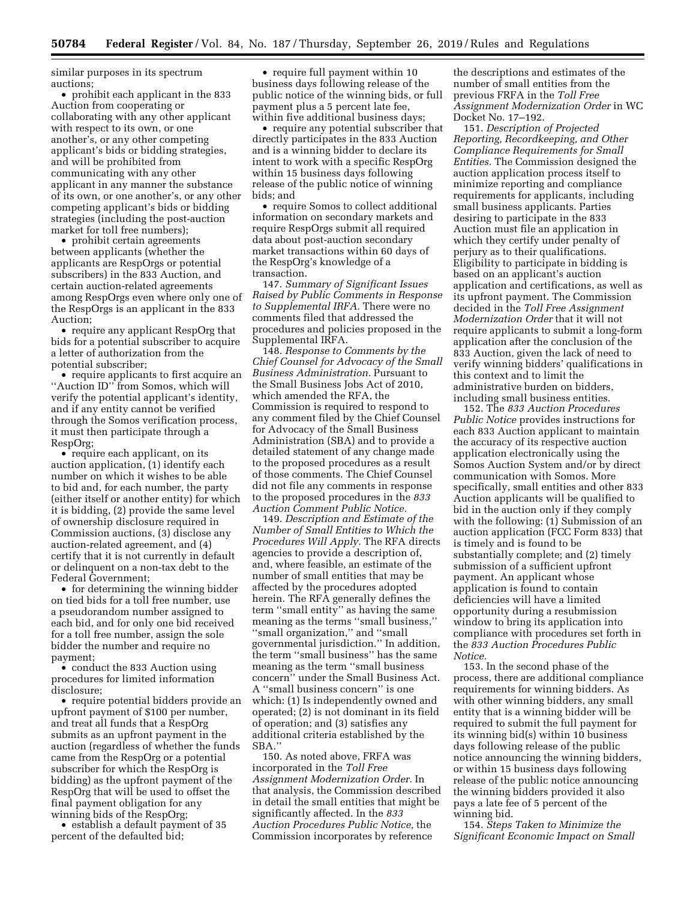similar purposes in its spectrum auctions;

• prohibit each applicant in the 833 Auction from cooperating or collaborating with any other applicant with respect to its own, or one another's, or any other competing applicant's bids or bidding strategies, and will be prohibited from communicating with any other applicant in any manner the substance of its own, or one another's, or any other competing applicant's bids or bidding strategies (including the post-auction market for toll free numbers);

• prohibit certain agreements between applicants (whether the applicants are RespOrgs or potential subscribers) in the 833 Auction, and certain auction-related agreements among RespOrgs even where only one of the RespOrgs is an applicant in the 833 Auction;

• require any applicant RespOrg that bids for a potential subscriber to acquire a letter of authorization from the potential subscriber;

• require applicants to first acquire an ''Auction ID'' from Somos, which will verify the potential applicant's identity, and if any entity cannot be verified through the Somos verification process, it must then participate through a RespOrg;

• require each applicant, on its auction application, (1) identify each number on which it wishes to be able to bid and, for each number, the party (either itself or another entity) for which it is bidding, (2) provide the same level of ownership disclosure required in Commission auctions, (3) disclose any auction-related agreement, and (4) certify that it is not currently in default or delinquent on a non-tax debt to the Federal Government;

• for determining the winning bidder on tied bids for a toll free number, use a pseudorandom number assigned to each bid, and for only one bid received for a toll free number, assign the sole bidder the number and require no payment;

• conduct the 833 Auction using procedures for limited information disclosure;

• require potential bidders provide an upfront payment of \$100 per number, and treat all funds that a RespOrg submits as an upfront payment in the auction (regardless of whether the funds came from the RespOrg or a potential subscriber for which the RespOrg is bidding) as the upfront payment of the RespOrg that will be used to offset the final payment obligation for any winning bids of the RespOrg;

• establish a default payment of 35 percent of the defaulted bid;

• require full payment within 10 business days following release of the public notice of the winning bids, or full payment plus a 5 percent late fee, within five additional business days;

• require any potential subscriber that directly participates in the 833 Auction and is a winning bidder to declare its intent to work with a specific RespOrg within 15 business days following release of the public notice of winning bids; and

• require Somos to collect additional information on secondary markets and require RespOrgs submit all required data about post-auction secondary market transactions within 60 days of the RespOrg's knowledge of a transaction.

147. *Summary of Significant Issues Raised by Public Comments in Response to Supplemental IRFA.* There were no comments filed that addressed the procedures and policies proposed in the Supplemental IRFA.

148. *Response to Comments by the Chief Counsel for Advocacy of the Small Business Administration.* Pursuant to the Small Business Jobs Act of 2010, which amended the RFA, the Commission is required to respond to any comment filed by the Chief Counsel for Advocacy of the Small Business Administration (SBA) and to provide a detailed statement of any change made to the proposed procedures as a result of those comments. The Chief Counsel did not file any comments in response to the proposed procedures in the *833 Auction Comment Public Notice.* 

149. *Description and Estimate of the Number of Small Entities to Which the Procedures Will Apply.* The RFA directs agencies to provide a description of, and, where feasible, an estimate of the number of small entities that may be affected by the procedures adopted herein. The RFA generally defines the term ''small entity'' as having the same meaning as the terms ''small business,'' ''small organization,'' and ''small governmental jurisdiction.'' In addition, the term ''small business'' has the same meaning as the term ''small business concern'' under the Small Business Act. A ''small business concern'' is one which: (1) Is independently owned and operated; (2) is not dominant in its field of operation; and (3) satisfies any additional criteria established by the SBA.''

150. As noted above, FRFA was incorporated in the *Toll Free Assignment Modernization Order.* In that analysis, the Commission described in detail the small entities that might be significantly affected. In the *833 Auction Procedures Public Notice,* the Commission incorporates by reference

the descriptions and estimates of the number of small entities from the previous FRFA in the *Toll Free Assignment Modernization Order* in WC Docket No. 17–192.

151. *Description of Projected Reporting, Recordkeeping, and Other Compliance Requirements for Small Entities.* The Commission designed the auction application process itself to minimize reporting and compliance requirements for applicants, including small business applicants. Parties desiring to participate in the 833 Auction must file an application in which they certify under penalty of perjury as to their qualifications. Eligibility to participate in bidding is based on an applicant's auction application and certifications, as well as its upfront payment. The Commission decided in the *Toll Free Assignment Modernization Order* that it will not require applicants to submit a long-form application after the conclusion of the 833 Auction, given the lack of need to verify winning bidders' qualifications in this context and to limit the administrative burden on bidders, including small business entities.

152. The *833 Auction Procedures Public Notice* provides instructions for each 833 Auction applicant to maintain the accuracy of its respective auction application electronically using the Somos Auction System and/or by direct communication with Somos. More specifically, small entities and other 833 Auction applicants will be qualified to bid in the auction only if they comply with the following: (1) Submission of an auction application (FCC Form 833) that is timely and is found to be substantially complete; and (2) timely submission of a sufficient upfront payment. An applicant whose application is found to contain deficiencies will have a limited opportunity during a resubmission window to bring its application into compliance with procedures set forth in the *833 Auction Procedures Public Notice.* 

153. In the second phase of the process, there are additional compliance requirements for winning bidders. As with other winning bidders, any small entity that is a winning bidder will be required to submit the full payment for its winning bid(s) within 10 business days following release of the public notice announcing the winning bidders, or within 15 business days following release of the public notice announcing the winning bidders provided it also pays a late fee of 5 percent of the winning bid.

154. *Steps Taken to Minimize the Significant Economic Impact on Small*